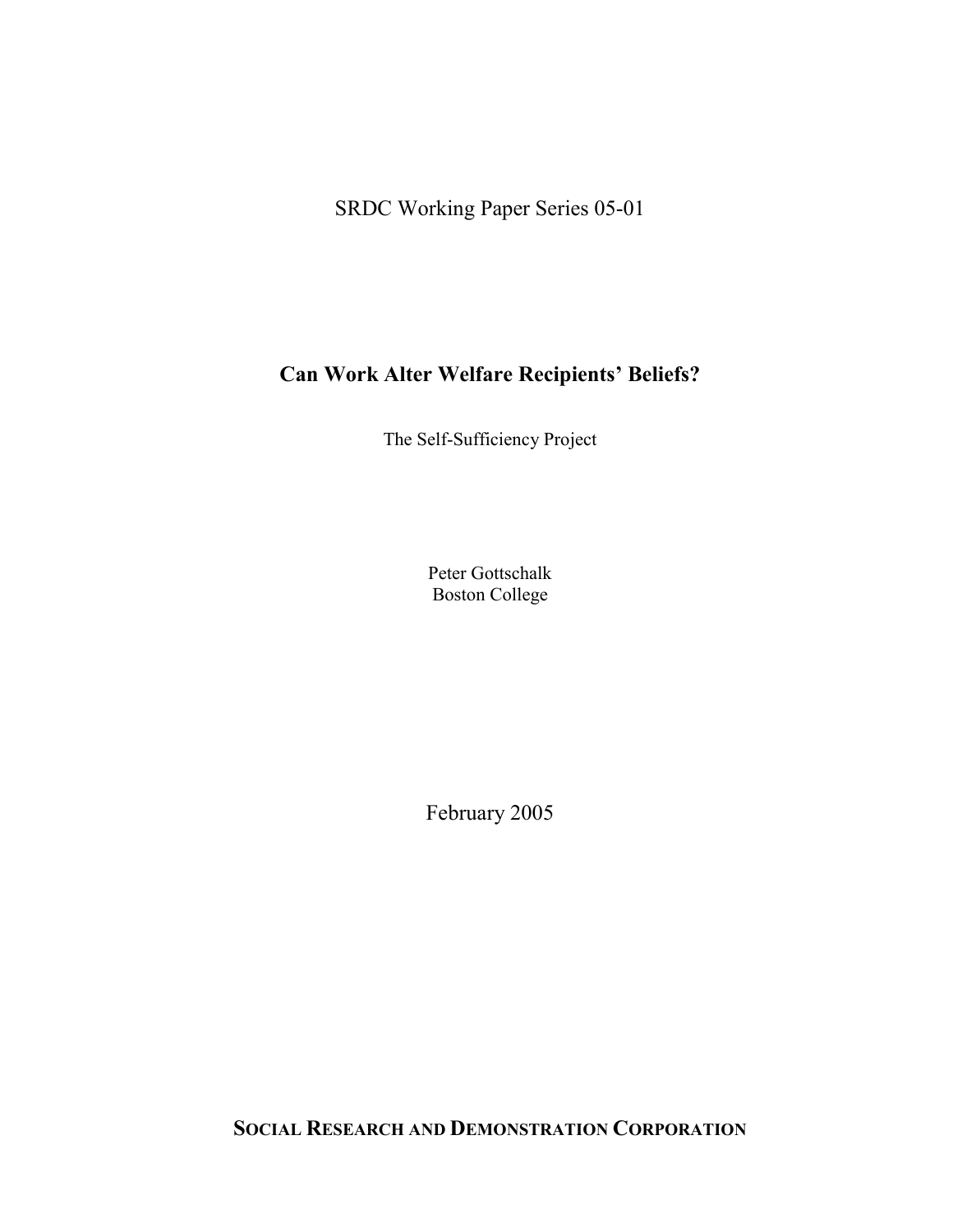SRDC Working Paper Series 05-01

# **Can Work Alter Welfare Recipients' Beliefs?**

The Self-Sufficiency Project

Peter Gottschalk Boston College

February 2005

**SOCIAL RESEARCH AND DEMONSTRATION CORPORATION**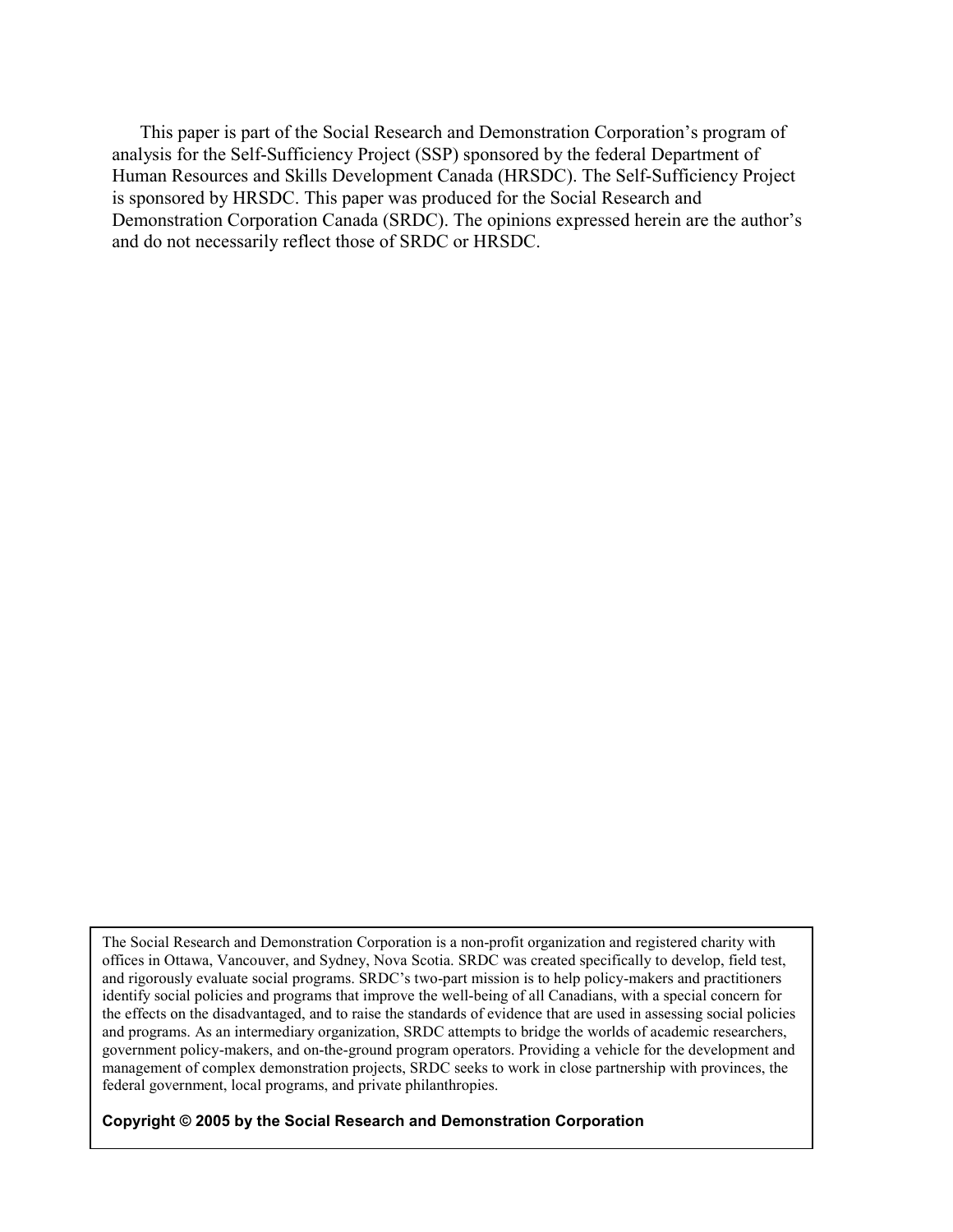This paper is part of the Social Research and Demonstration Corporation's program of analysis for the Self-Sufficiency Project (SSP) sponsored by the federal Department of Human Resources and Skills Development Canada (HRSDC). The Self-Sufficiency Project is sponsored by HRSDC. This paper was produced for the Social Research and Demonstration Corporation Canada (SRDC). The opinions expressed herein are the author's and do not necessarily reflect those of SRDC or HRSDC.

The Social Research and Demonstration Corporation is a non-profit organization and registered charity with offices in Ottawa, Vancouver, and Sydney, Nova Scotia. SRDC was created specifically to develop, field test, and rigorously evaluate social programs. SRDC's two-part mission is to help policy-makers and practitioners identify social policies and programs that improve the well-being of all Canadians, with a special concern for the effects on the disadvantaged, and to raise the standards of evidence that are used in assessing social policies and programs. As an intermediary organization, SRDC attempts to bridge the worlds of academic researchers, government policy-makers, and on-the-ground program operators. Providing a vehicle for the development and management of complex demonstration projects, SRDC seeks to work in close partnership with provinces, the federal government, local programs, and private philanthropies.

**Copyright © 2005 by the Social Research and Demonstration Corporation**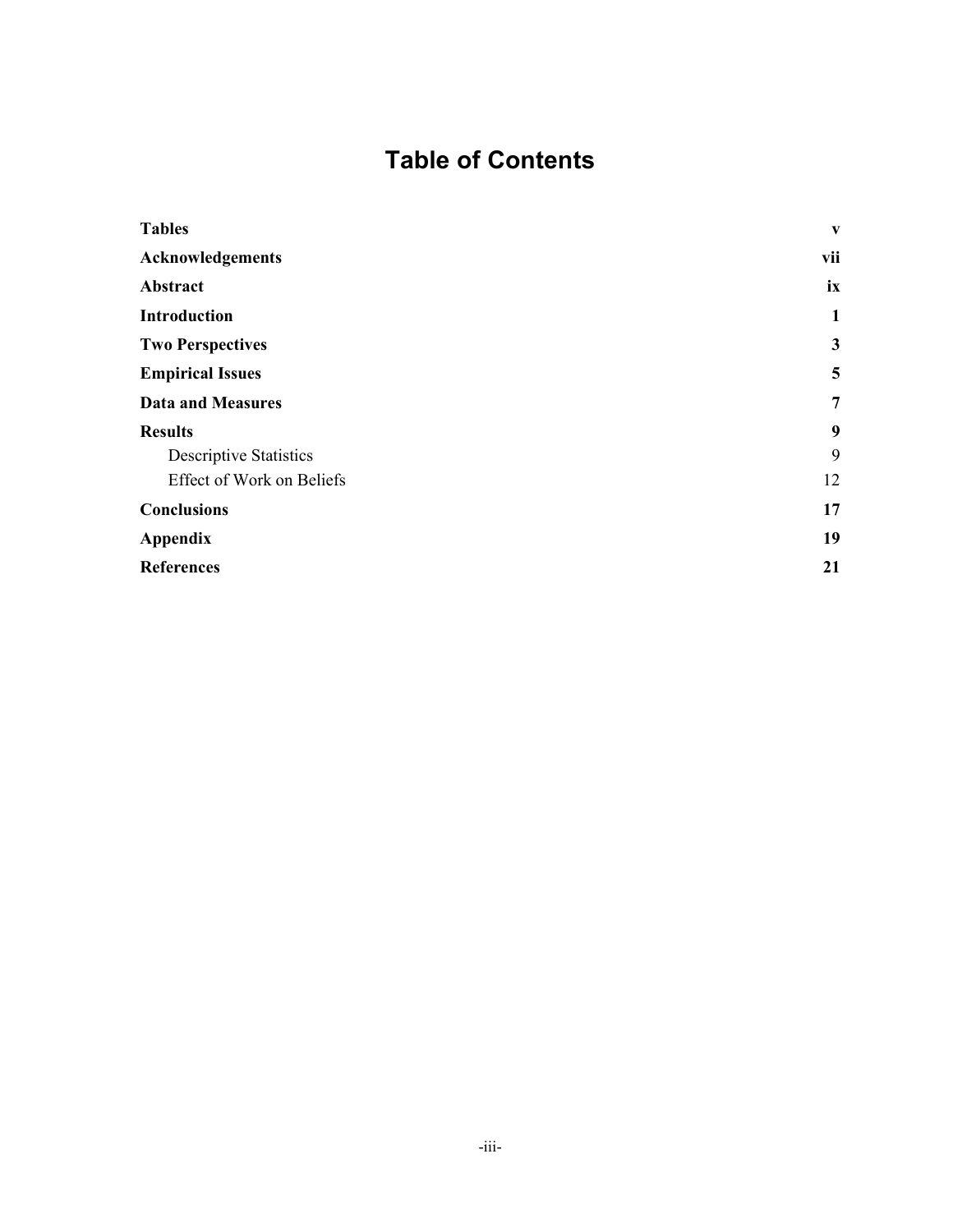# **Table of Contents**

| <b>Tables</b>                    | V              |
|----------------------------------|----------------|
| <b>Acknowledgements</b>          | vii            |
| Abstract                         | ix             |
| <b>Introduction</b>              | $\mathbf{1}$   |
| <b>Two Perspectives</b>          | $\mathbf{3}$   |
| <b>Empirical Issues</b>          | 5              |
| <b>Data and Measures</b>         | $\overline{7}$ |
| <b>Results</b>                   | 9              |
| <b>Descriptive Statistics</b>    | 9              |
| <b>Effect of Work on Beliefs</b> | 12             |
| <b>Conclusions</b>               | 17             |
| <b>Appendix</b>                  | 19             |
| <b>References</b>                | 21             |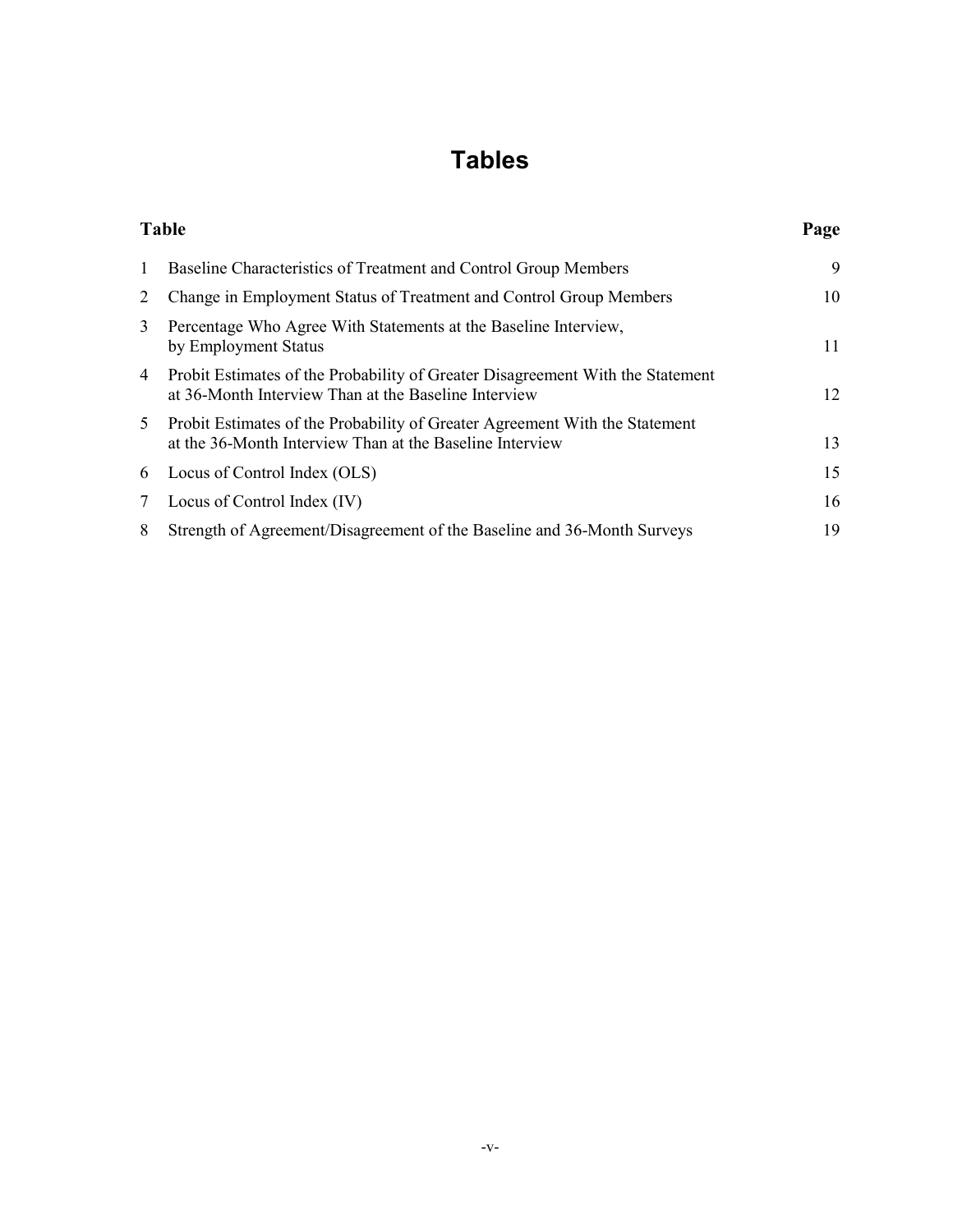# **Tables**

|                 | <b>Table</b>                                                                                                                            | Page |
|-----------------|-----------------------------------------------------------------------------------------------------------------------------------------|------|
| $\mathbf{1}$    | Baseline Characteristics of Treatment and Control Group Members                                                                         | 9    |
| $\overline{2}$  | Change in Employment Status of Treatment and Control Group Members                                                                      | 10   |
| 3               | Percentage Who Agree With Statements at the Baseline Interview,<br>by Employment Status                                                 | 11   |
| 4               | Probit Estimates of the Probability of Greater Disagreement With the Statement<br>at 36-Month Interview Than at the Baseline Interview  | 12   |
| 5               | Probit Estimates of the Probability of Greater Agreement With the Statement<br>at the 36-Month Interview Than at the Baseline Interview | 13   |
| 6               | Locus of Control Index (OLS)                                                                                                            | 15   |
| $7\overline{ }$ | Locus of Control Index (IV)                                                                                                             | 16   |
| 8               | Strength of Agreement/Disagreement of the Baseline and 36-Month Surveys                                                                 | 19   |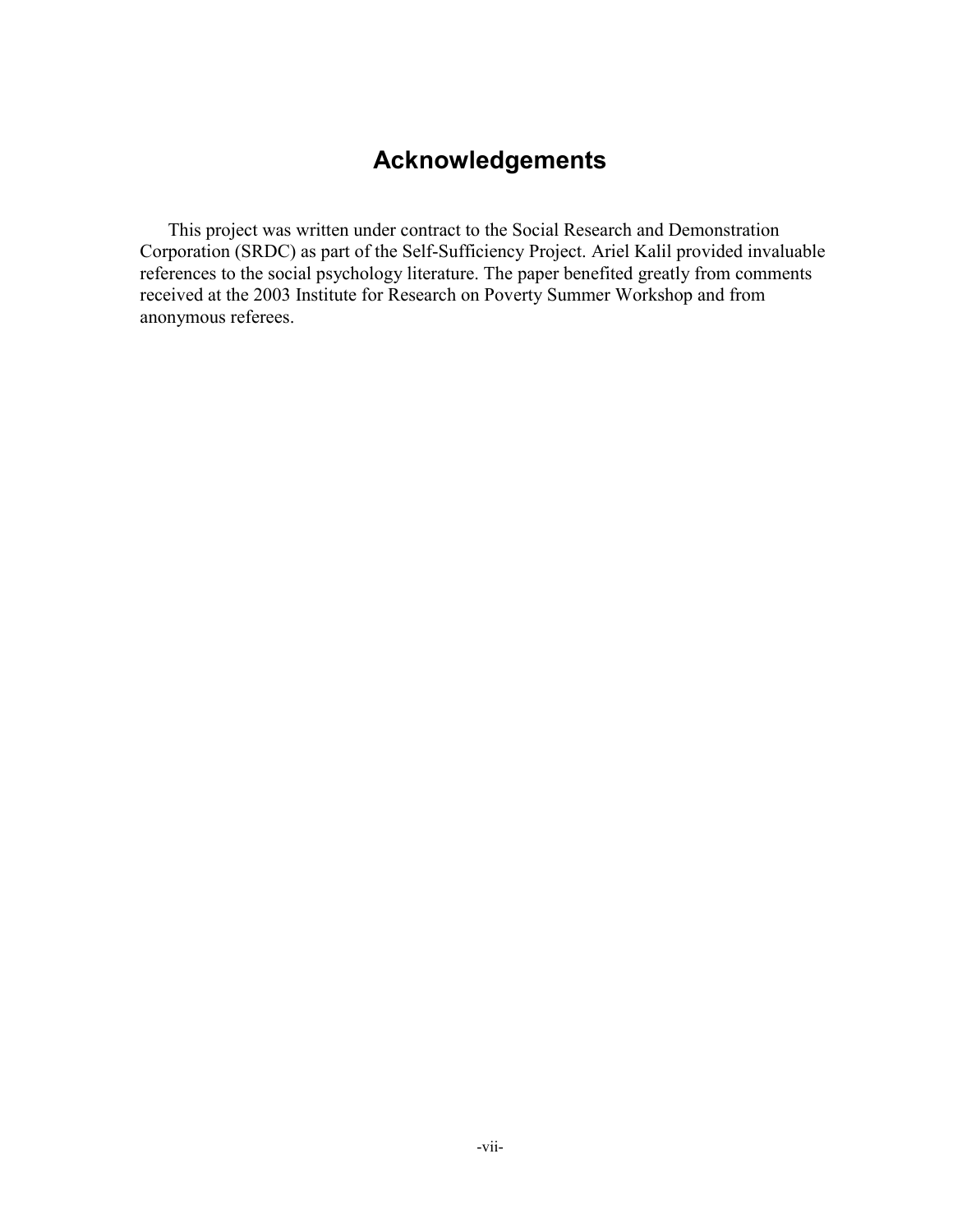# **Acknowledgements**

This project was written under contract to the Social Research and Demonstration Corporation (SRDC) as part of the Self-Sufficiency Project. Ariel Kalil provided invaluable references to the social psychology literature. The paper benefited greatly from comments received at the 2003 Institute for Research on Poverty Summer Workshop and from anonymous referees.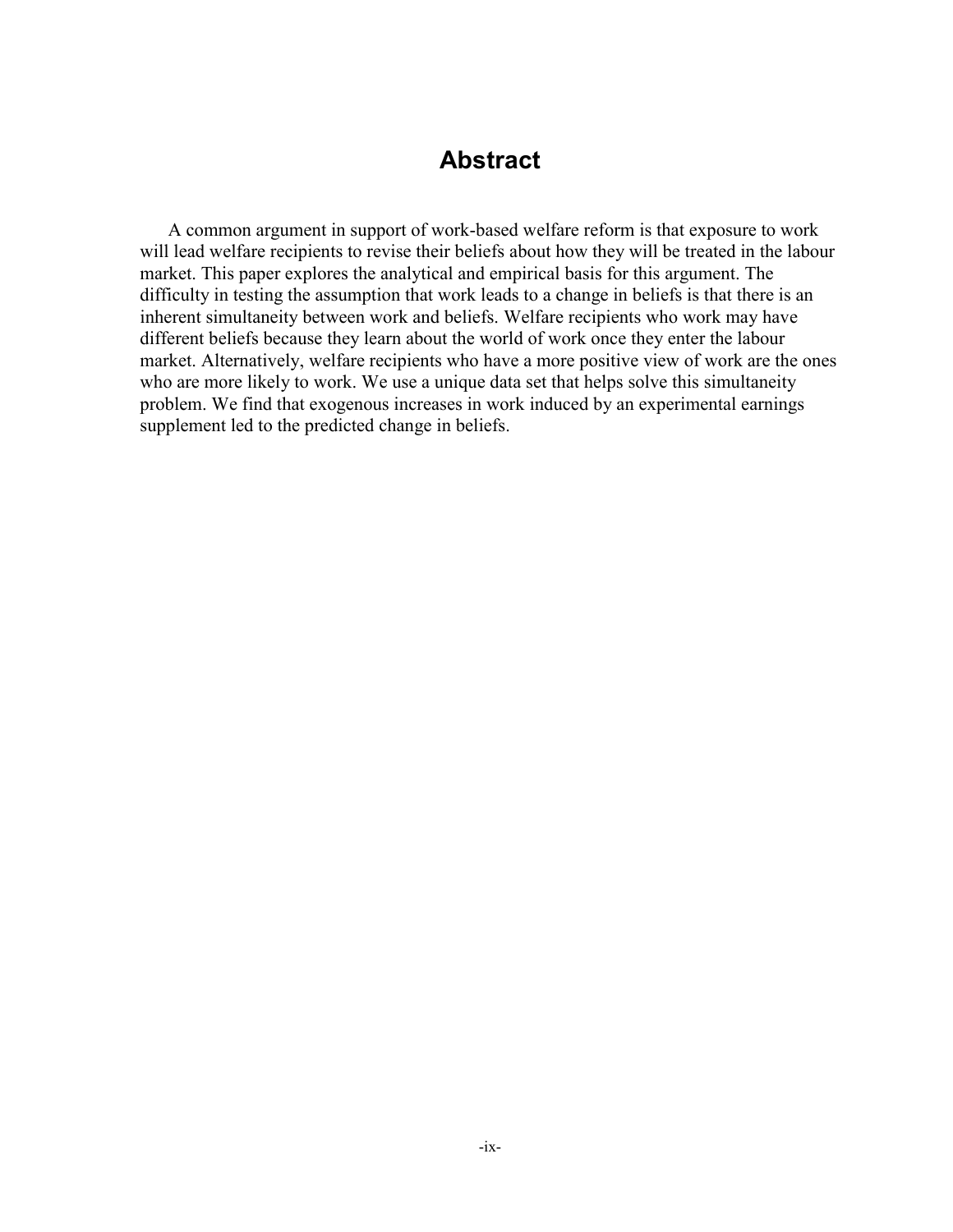### **Abstract**

A common argument in support of work-based welfare reform is that exposure to work will lead welfare recipients to revise their beliefs about how they will be treated in the labour market. This paper explores the analytical and empirical basis for this argument. The difficulty in testing the assumption that work leads to a change in beliefs is that there is an inherent simultaneity between work and beliefs. Welfare recipients who work may have different beliefs because they learn about the world of work once they enter the labour market. Alternatively, welfare recipients who have a more positive view of work are the ones who are more likely to work. We use a unique data set that helps solve this simultaneity problem. We find that exogenous increases in work induced by an experimental earnings supplement led to the predicted change in beliefs.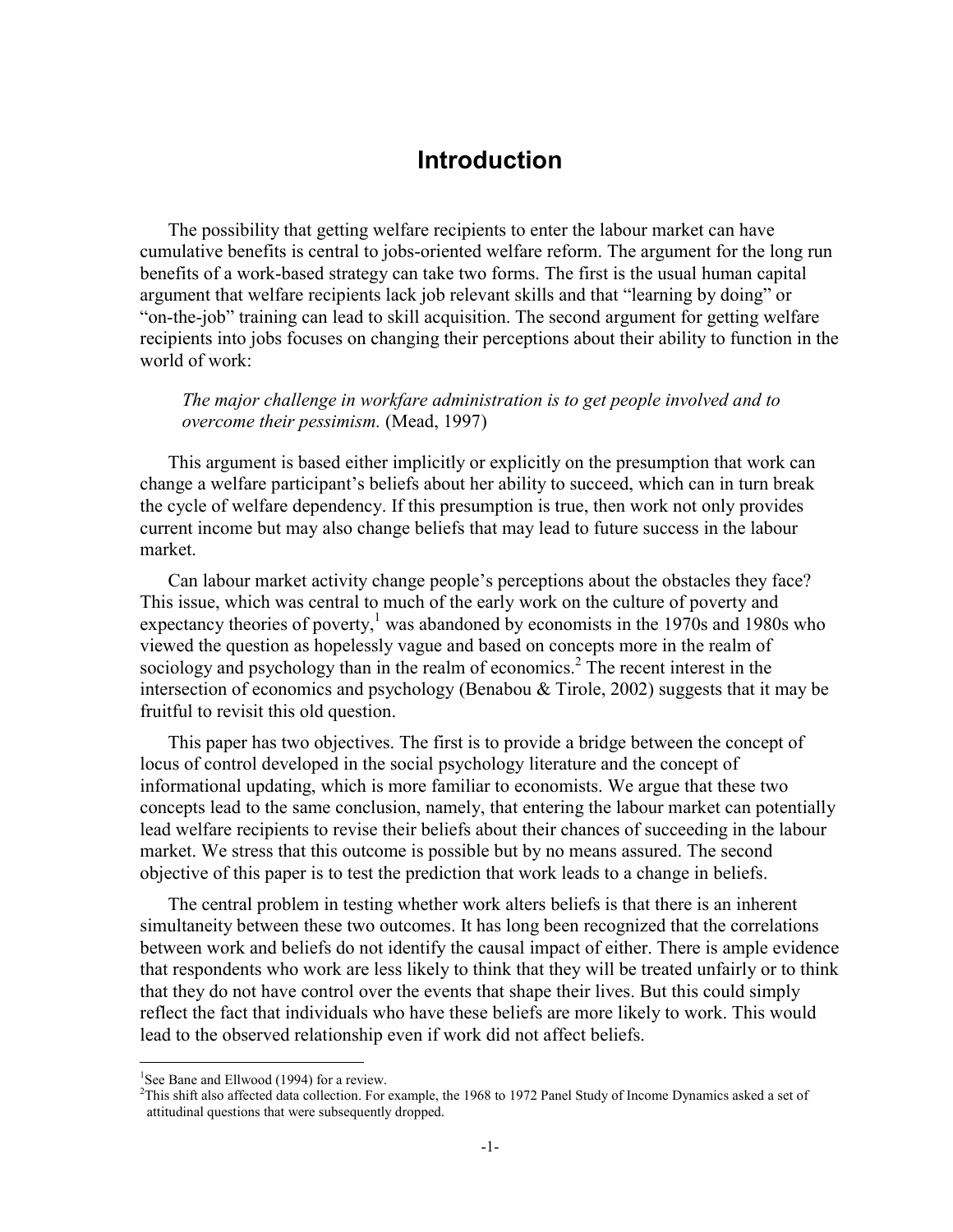#### **Introduction**

The possibility that getting welfare recipients to enter the labour market can have cumulative benefits is central to jobs-oriented welfare reform. The argument for the long run benefits of a work-based strategy can take two forms. The first is the usual human capital argument that welfare recipients lack job relevant skills and that "learning by doing" or "on-the-job" training can lead to skill acquisition. The second argument for getting welfare recipients into jobs focuses on changing their perceptions about their ability to function in the world of work:

*The major challenge in workfare administration is to get people involved and to overcome their pessimism.* (Mead, 1997)

This argument is based either implicitly or explicitly on the presumption that work can change a welfare participant's beliefs about her ability to succeed, which can in turn break the cycle of welfare dependency. If this presumption is true, then work not only provides current income but may also change beliefs that may lead to future success in the labour market.

Can labour market activity change people's perceptions about the obstacles they face? This issue, which was central to much of the early work on the culture of poverty and expectancy theories of poverty, $<sup>1</sup>$  was abandoned by economists in the 1970s and 1980s who</sup> viewed the question as hopelessly vague and based on concepts more in the realm of sociology and psychology than in the realm of economics.<sup>2</sup> The recent interest in the intersection of economics and psychology (Benabou & Tirole, 2002) suggests that it may be fruitful to revisit this old question.

This paper has two objectives. The first is to provide a bridge between the concept of locus of control developed in the social psychology literature and the concept of informational updating, which is more familiar to economists. We argue that these two concepts lead to the same conclusion, namely, that entering the labour market can potentially lead welfare recipients to revise their beliefs about their chances of succeeding in the labour market. We stress that this outcome is possible but by no means assured. The second objective of this paper is to test the prediction that work leads to a change in beliefs.

The central problem in testing whether work alters beliefs is that there is an inherent simultaneity between these two outcomes. It has long been recognized that the correlations between work and beliefs do not identify the causal impact of either. There is ample evidence that respondents who work are less likely to think that they will be treated unfairly or to think that they do not have control over the events that shape their lives. But this could simply reflect the fact that individuals who have these beliefs are more likely to work. This would lead to the observed relationship even if work did not affect beliefs.

 $\overline{a}$ 

<sup>&</sup>lt;sup>1</sup>See Bane and Ellwood (1994) for a review.

<sup>&</sup>lt;sup>2</sup>This shift also affected data collection. For example, the 1968 to 1972 Panel Study of Income Dynamics asked a set of attitudinal questions that were subsequently dropped.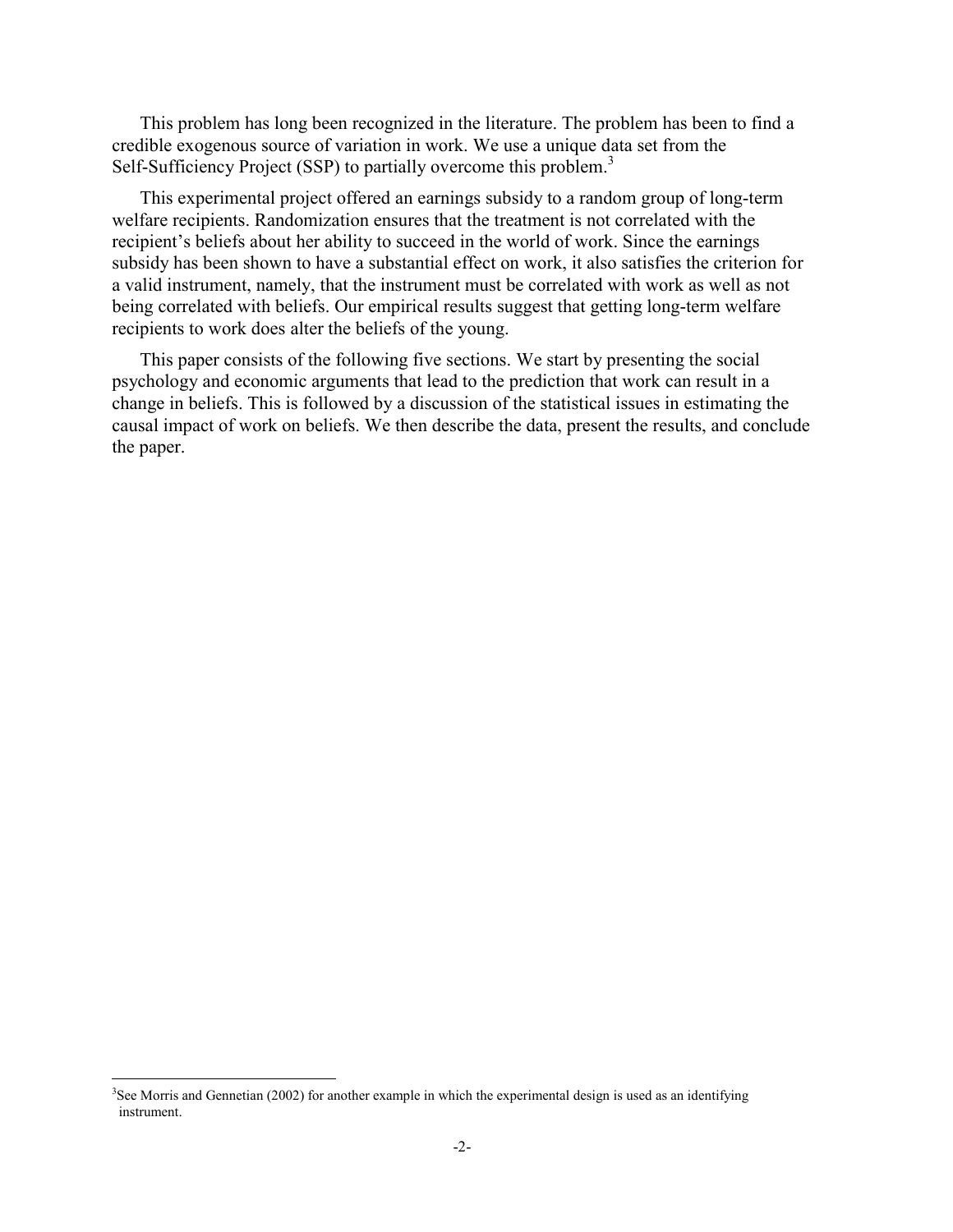This problem has long been recognized in the literature. The problem has been to find a credible exogenous source of variation in work. We use a unique data set from the Self-Sufficiency Project (SSP) to partially overcome this problem.<sup>3</sup>

This experimental project offered an earnings subsidy to a random group of long-term welfare recipients. Randomization ensures that the treatment is not correlated with the recipient's beliefs about her ability to succeed in the world of work. Since the earnings subsidy has been shown to have a substantial effect on work, it also satisfies the criterion for a valid instrument, namely, that the instrument must be correlated with work as well as not being correlated with beliefs. Our empirical results suggest that getting long-term welfare recipients to work does alter the beliefs of the young.

This paper consists of the following five sections. We start by presenting the social psychology and economic arguments that lead to the prediction that work can result in a change in beliefs. This is followed by a discussion of the statistical issues in estimating the causal impact of work on beliefs. We then describe the data, present the results, and conclude the paper.

 $3$ See Morris and Gennetian (2002) for another example in which the experimental design is used as an identifying instrument.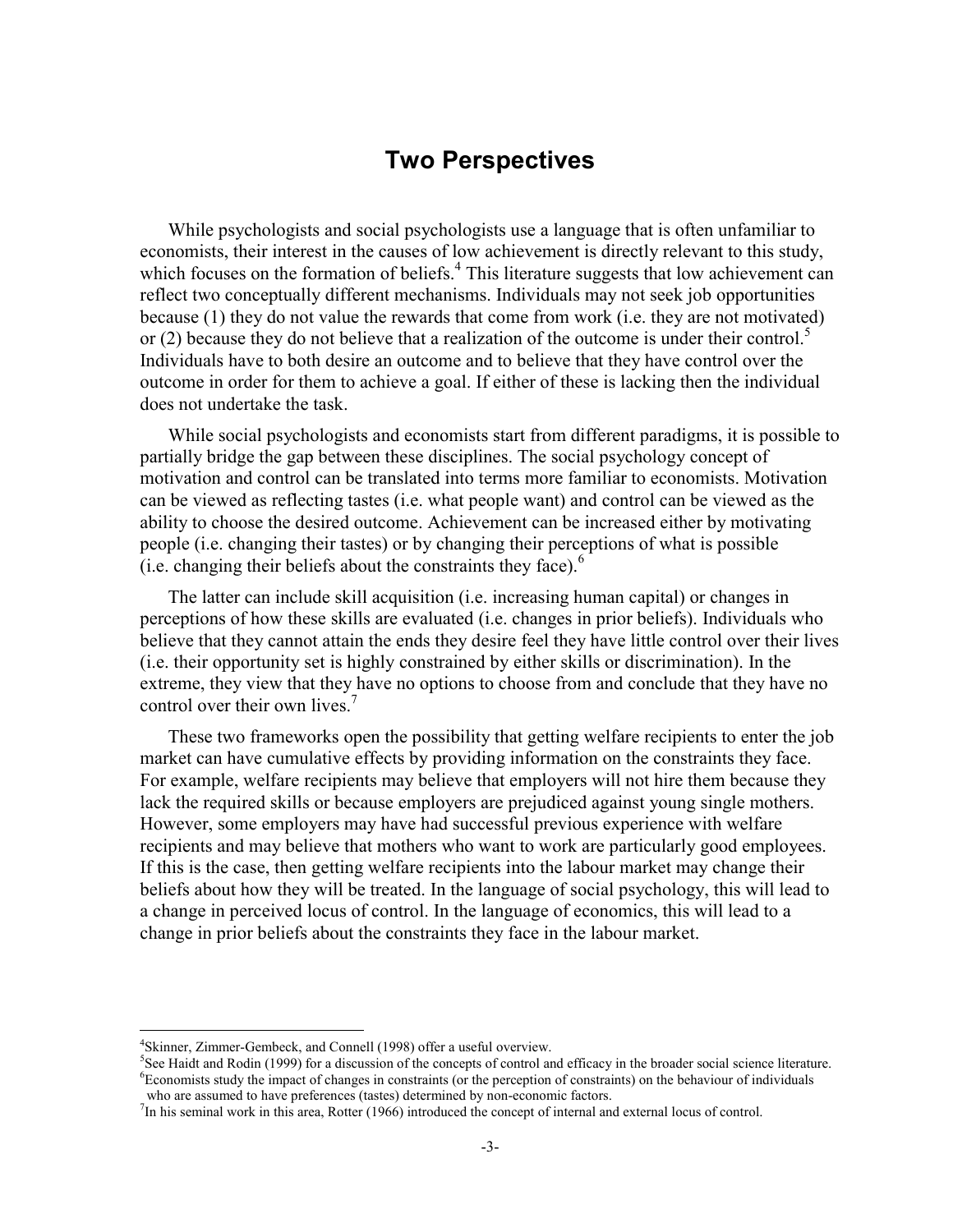#### **Two Perspectives**

While psychologists and social psychologists use a language that is often unfamiliar to economists, their interest in the causes of low achievement is directly relevant to this study, which focuses on the formation of beliefs.<sup>4</sup> This literature suggests that low achievement can reflect two conceptually different mechanisms. Individuals may not seek job opportunities because (1) they do not value the rewards that come from work (i.e. they are not motivated) or (2) because they do not believe that a realization of the outcome is under their control. $\delta$ Individuals have to both desire an outcome and to believe that they have control over the outcome in order for them to achieve a goal. If either of these is lacking then the individual does not undertake the task.

While social psychologists and economists start from different paradigms, it is possible to partially bridge the gap between these disciplines. The social psychology concept of motivation and control can be translated into terms more familiar to economists. Motivation can be viewed as reflecting tastes (i.e. what people want) and control can be viewed as the ability to choose the desired outcome. Achievement can be increased either by motivating people (i.e. changing their tastes) or by changing their perceptions of what is possible (i.e. changing their beliefs about the constraints they face). $<sup>6</sup>$ </sup>

The latter can include skill acquisition (i.e. increasing human capital) or changes in perceptions of how these skills are evaluated (i.e. changes in prior beliefs). Individuals who believe that they cannot attain the ends they desire feel they have little control over their lives (i.e. their opportunity set is highly constrained by either skills or discrimination). In the extreme, they view that they have no options to choose from and conclude that they have no control over their own lives.<sup>7</sup>

These two frameworks open the possibility that getting welfare recipients to enter the job market can have cumulative effects by providing information on the constraints they face. For example, welfare recipients may believe that employers will not hire them because they lack the required skills or because employers are prejudiced against young single mothers. However, some employers may have had successful previous experience with welfare recipients and may believe that mothers who want to work are particularly good employees. If this is the case, then getting welfare recipients into the labour market may change their beliefs about how they will be treated. In the language of social psychology, this will lead to a change in perceived locus of control. In the language of economics, this will lead to a change in prior beliefs about the constraints they face in the labour market.

-

<sup>&</sup>lt;sup>4</sup>Skinner, Zimmer-Gembeck, and Connell (1998) offer a useful overview.

<sup>5</sup> See Haidt and Rodin (1999) for a discussion of the concepts of control and efficacy in the broader social science literature. 6 Economists study the impact of changes in constraints (or the perception of constraints) on the behaviour of individuals who are assumed to have preferences (tastes) determined by non-economic factors.

<sup>7</sup> In his seminal work in this area, Rotter (1966) introduced the concept of internal and external locus of control.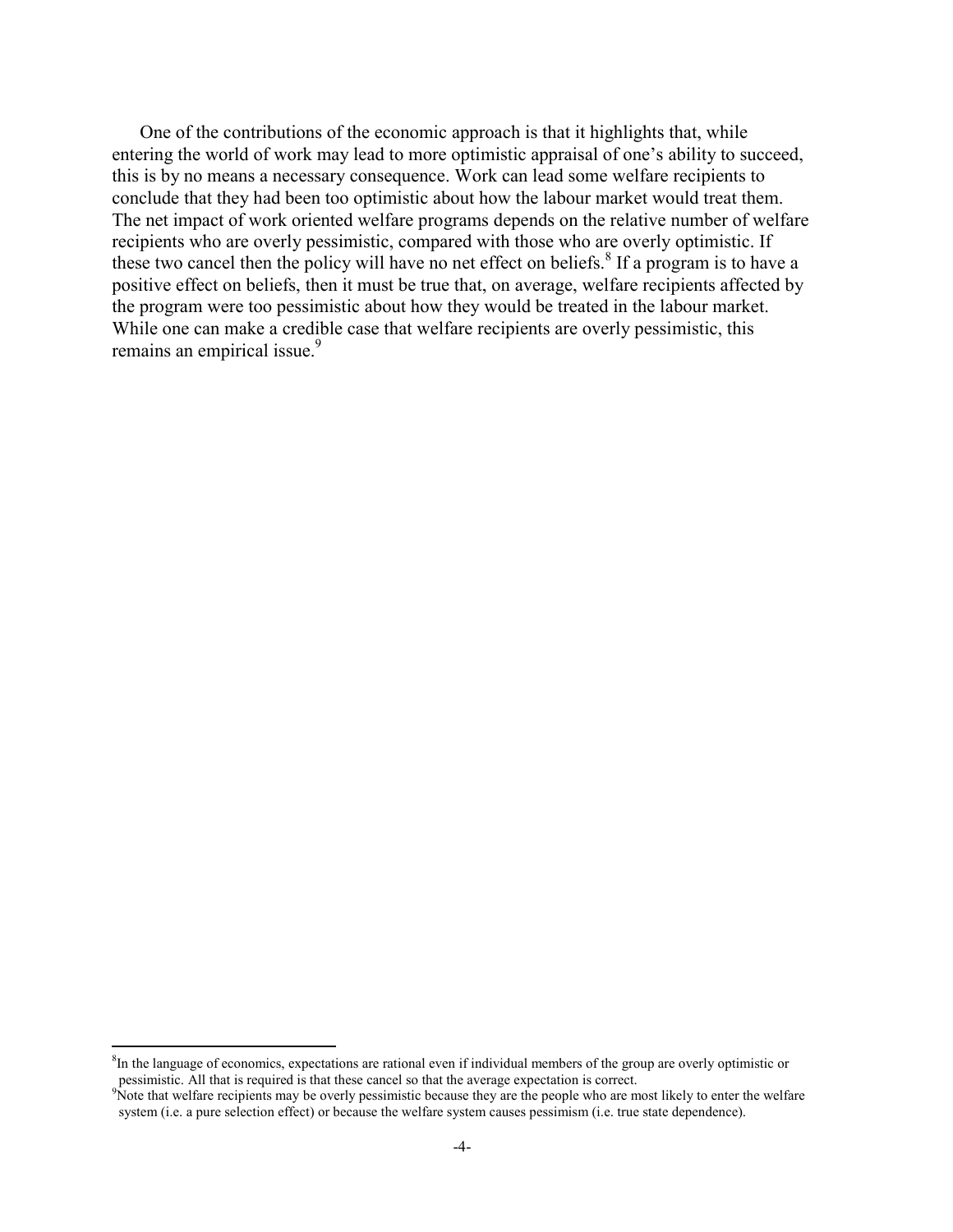One of the contributions of the economic approach is that it highlights that, while entering the world of work may lead to more optimistic appraisal of one's ability to succeed, this is by no means a necessary consequence. Work can lead some welfare recipients to conclude that they had been too optimistic about how the labour market would treat them. The net impact of work oriented welfare programs depends on the relative number of welfare recipients who are overly pessimistic, compared with those who are overly optimistic. If these two cancel then the policy will have no net effect on beliefs.<sup>8</sup> If a program is to have a positive effect on beliefs, then it must be true that, on average, welfare recipients affected by the program were too pessimistic about how they would be treated in the labour market. While one can make a credible case that welfare recipients are overly pessimistic, this remains an empirical issue.<sup>9</sup>

<sup>&</sup>lt;sup>8</sup>In the language of economics, expectations are rational even if individual members of the group are overly optimistic or pessimistic. All that is required is that these cancel so that the average expectation is correct.

<sup>&</sup>lt;sup>9</sup>Note that welfare recipients may be overly pessimistic because they are the people who are most likely to enter the welfare system (i.e. a pure selection effect) or because the welfare system causes pessimism (i.e. true state dependence).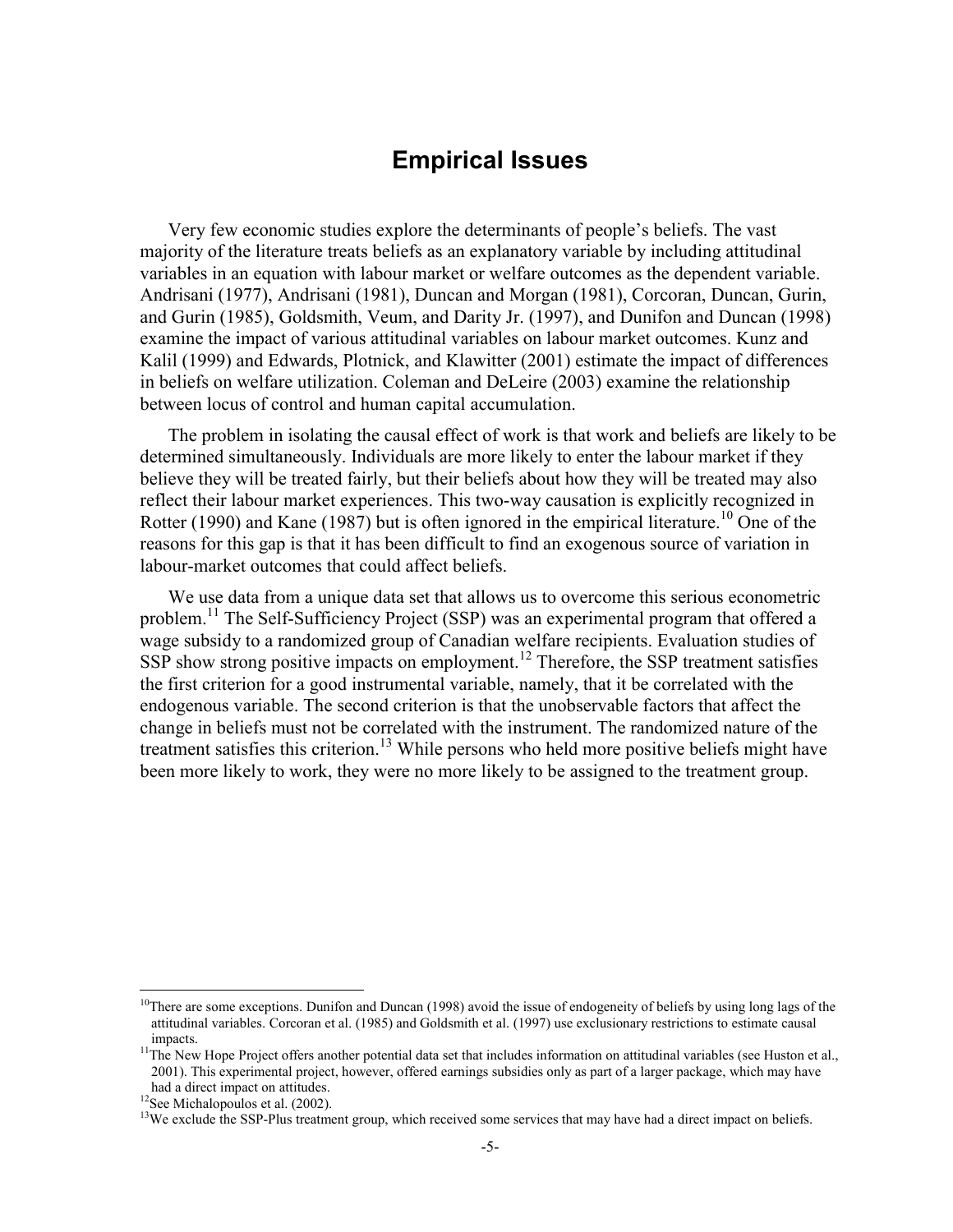### **Empirical Issues**

Very few economic studies explore the determinants of people's beliefs. The vast majority of the literature treats beliefs as an explanatory variable by including attitudinal variables in an equation with labour market or welfare outcomes as the dependent variable. Andrisani (1977), Andrisani (1981), Duncan and Morgan (1981), Corcoran, Duncan, Gurin, and Gurin (1985), Goldsmith, Veum, and Darity Jr. (1997), and Dunifon and Duncan (1998) examine the impact of various attitudinal variables on labour market outcomes. Kunz and Kalil (1999) and Edwards, Plotnick, and Klawitter (2001) estimate the impact of differences in beliefs on welfare utilization. Coleman and DeLeire (2003) examine the relationship between locus of control and human capital accumulation.

The problem in isolating the causal effect of work is that work and beliefs are likely to be determined simultaneously. Individuals are more likely to enter the labour market if they believe they will be treated fairly, but their beliefs about how they will be treated may also reflect their labour market experiences. This two-way causation is explicitly recognized in Rotter (1990) and Kane (1987) but is often ignored in the empirical literature.<sup>10</sup> One of the reasons for this gap is that it has been difficult to find an exogenous source of variation in labour-market outcomes that could affect beliefs.

We use data from a unique data set that allows us to overcome this serious econometric problem.<sup>11</sup> The Self-Sufficiency Project (SSP) was an experimental program that offered a wage subsidy to a randomized group of Canadian welfare recipients. Evaluation studies of  $SSP$  show strong positive impacts on employment.<sup>12</sup> Therefore, the SSP treatment satisfies the first criterion for a good instrumental variable, namely, that it be correlated with the endogenous variable. The second criterion is that the unobservable factors that affect the change in beliefs must not be correlated with the instrument. The randomized nature of the treatment satisfies this criterion.<sup>13</sup> While persons who held more positive beliefs might have been more likely to work, they were no more likely to be assigned to the treatment group.

 $10$ There are some exceptions. Dunifon and Duncan (1998) avoid the issue of endogeneity of beliefs by using long lags of the attitudinal variables. Corcoran et al. (1985) and Goldsmith et al. (1997) use exclusionary restrictions to estimate causal impacts.<br><sup>11</sup>The New Hope Project offers another potential data set that includes information on attitudinal variables (see Huston et al.,

<sup>2001).</sup> This experimental project, however, offered earnings subsidies only as part of a larger package, which may have had a direct impact on attitudes.<br><sup>12</sup>See Michalopoulos et al. (2002).

<sup>&</sup>lt;sup>13</sup>We exclude the SSP-Plus treatment group, which received some services that may have had a direct impact on beliefs.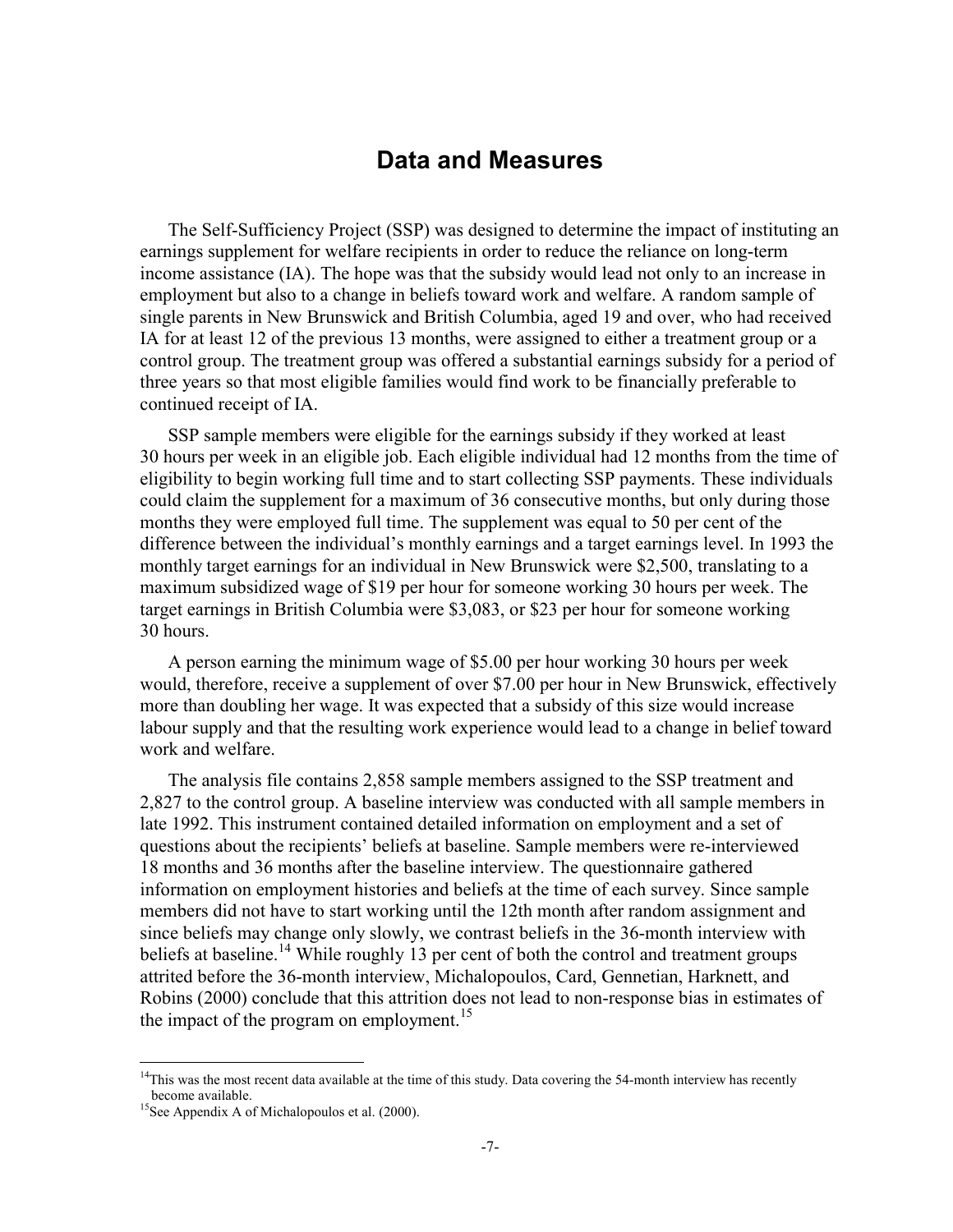#### **Data and Measures**

The Self-Sufficiency Project (SSP) was designed to determine the impact of instituting an earnings supplement for welfare recipients in order to reduce the reliance on long-term income assistance (IA). The hope was that the subsidy would lead not only to an increase in employment but also to a change in beliefs toward work and welfare. A random sample of single parents in New Brunswick and British Columbia, aged 19 and over, who had received IA for at least 12 of the previous 13 months, were assigned to either a treatment group or a control group. The treatment group was offered a substantial earnings subsidy for a period of three years so that most eligible families would find work to be financially preferable to continued receipt of IA.

SSP sample members were eligible for the earnings subsidy if they worked at least 30 hours per week in an eligible job. Each eligible individual had 12 months from the time of eligibility to begin working full time and to start collecting SSP payments. These individuals could claim the supplement for a maximum of 36 consecutive months, but only during those months they were employed full time. The supplement was equal to 50 per cent of the difference between the individual's monthly earnings and a target earnings level. In 1993 the monthly target earnings for an individual in New Brunswick were \$2,500, translating to a maximum subsidized wage of \$19 per hour for someone working 30 hours per week. The target earnings in British Columbia were \$3,083, or \$23 per hour for someone working 30 hours.

A person earning the minimum wage of \$5.00 per hour working 30 hours per week would, therefore, receive a supplement of over \$7.00 per hour in New Brunswick, effectively more than doubling her wage. It was expected that a subsidy of this size would increase labour supply and that the resulting work experience would lead to a change in belief toward work and welfare.

The analysis file contains 2,858 sample members assigned to the SSP treatment and 2,827 to the control group. A baseline interview was conducted with all sample members in late 1992. This instrument contained detailed information on employment and a set of questions about the recipients' beliefs at baseline. Sample members were re-interviewed 18 months and 36 months after the baseline interview. The questionnaire gathered information on employment histories and beliefs at the time of each survey. Since sample members did not have to start working until the 12th month after random assignment and since beliefs may change only slowly, we contrast beliefs in the 36-month interview with beliefs at baseline.<sup>14</sup> While roughly 13 per cent of both the control and treatment groups attrited before the 36-month interview, Michalopoulos, Card, Gennetian, Harknett, and Robins (2000) conclude that this attrition does not lead to non-response bias in estimates of the impact of the program on employment.<sup>15</sup>

<u>.</u>

 $14$ This was the most recent data available at the time of this study. Data covering the 54-month interview has recently become available.<br><sup>15</sup>See Appendix A of Michalopoulos et al. (2000).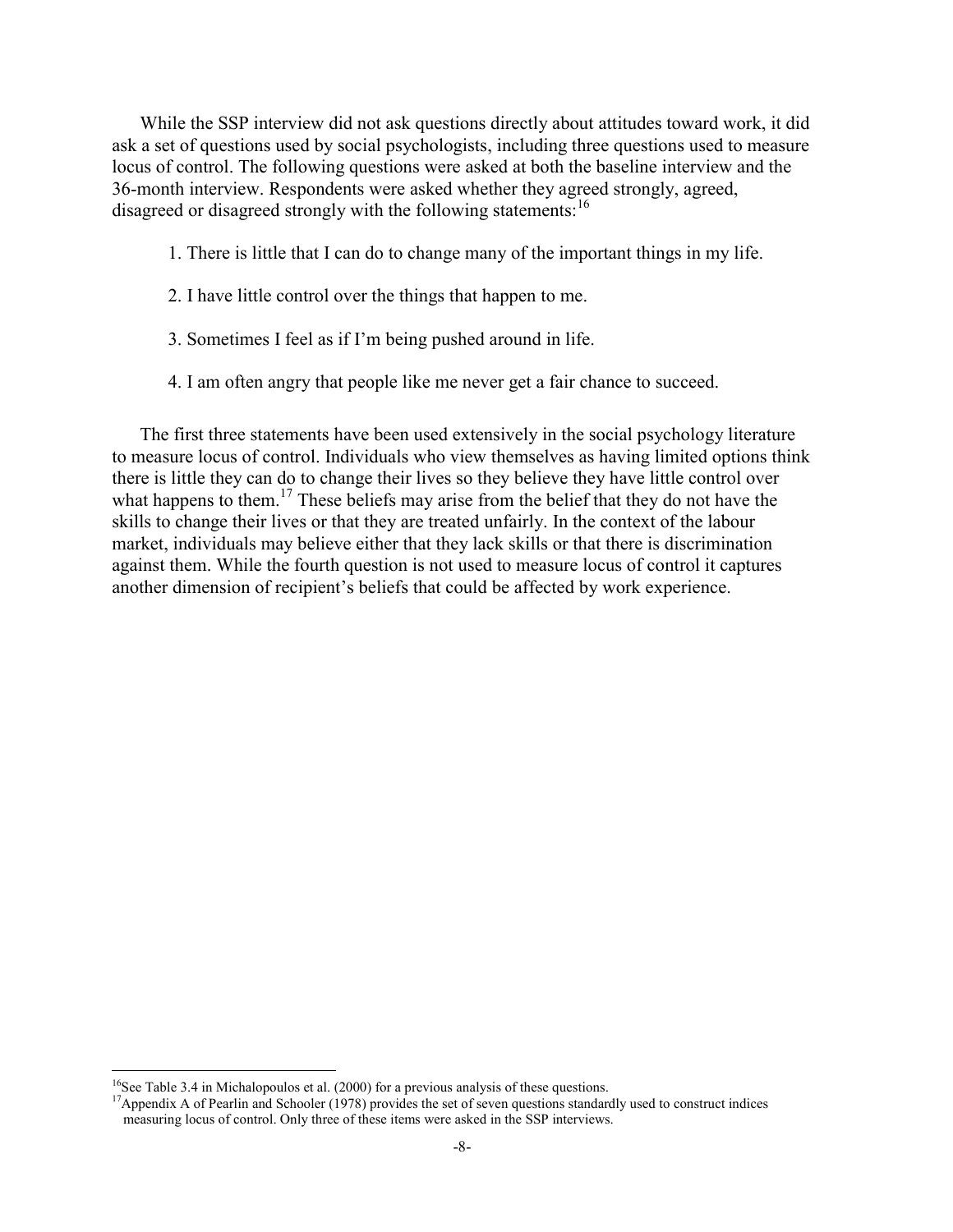While the SSP interview did not ask questions directly about attitudes toward work, it did ask a set of questions used by social psychologists, including three questions used to measure locus of control. The following questions were asked at both the baseline interview and the 36-month interview. Respondents were asked whether they agreed strongly, agreed, disagreed or disagreed strongly with the following statements:<sup>16</sup>

- 1. There is little that I can do to change many of the important things in my life.
- 2. I have little control over the things that happen to me.
- 3. Sometimes I feel as if I'm being pushed around in life.
- 4. I am often angry that people like me never get a fair chance to succeed.

The first three statements have been used extensively in the social psychology literature to measure locus of control. Individuals who view themselves as having limited options think there is little they can do to change their lives so they believe they have little control over what happens to them.<sup>17</sup> These beliefs may arise from the belief that they do not have the skills to change their lives or that they are treated unfairly. In the context of the labour market, individuals may believe either that they lack skills or that there is discrimination against them. While the fourth question is not used to measure locus of control it captures another dimension of recipient's beliefs that could be affected by work experience.

 $\overline{a}$ 

<sup>&</sup>lt;sup>16</sup>See Table 3.4 in Michalopoulos et al. (2000) for a previous analysis of these questions.

<sup>&</sup>lt;sup>17</sup>Appendix A of Pearlin and Schooler (1978) provides the set of seven questions standardly used to construct indices measuring locus of control. Only three of these items were asked in the SSP interviews.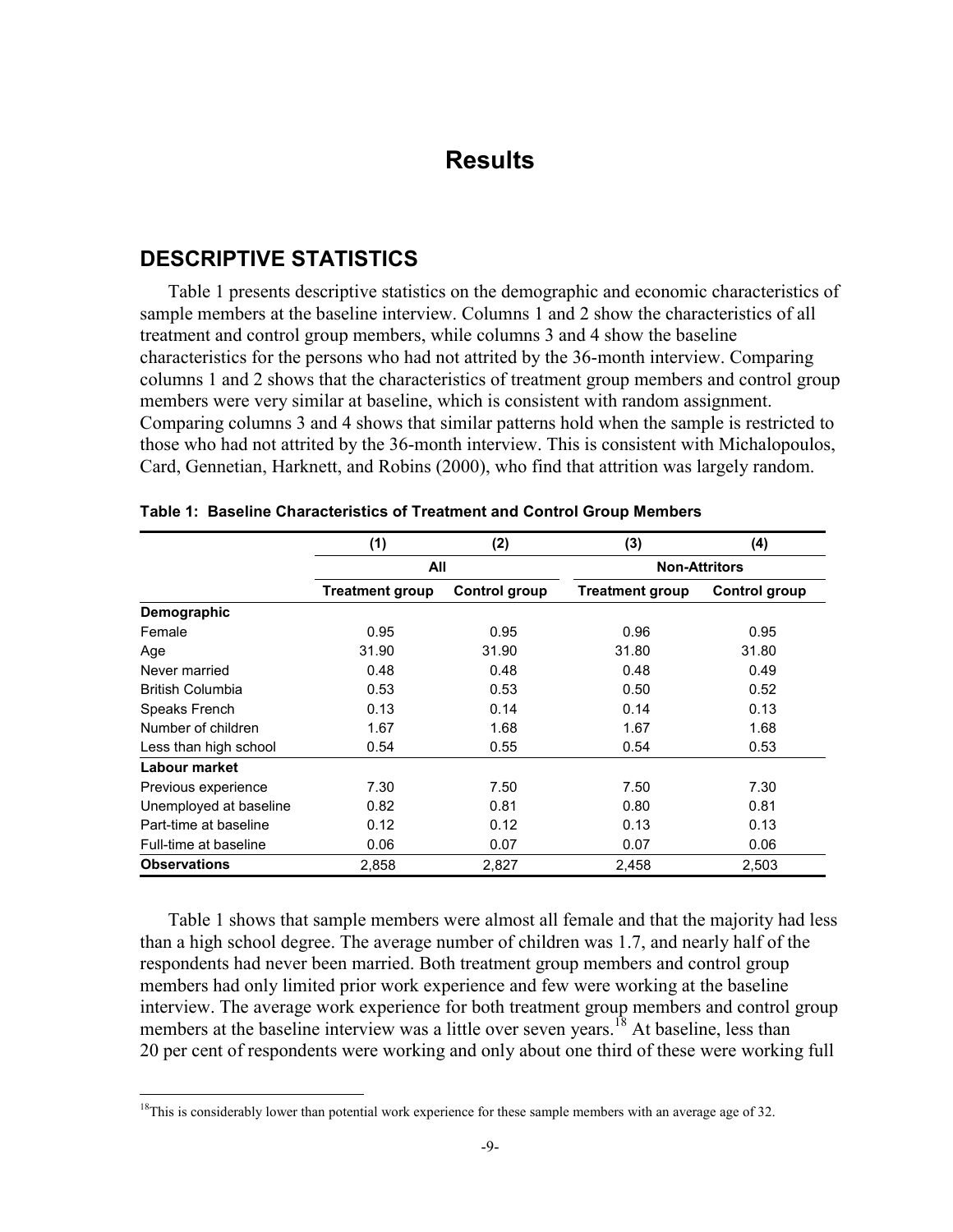#### **Results**

#### **DESCRIPTIVE STATISTICS**

1

Table 1 presents descriptive statistics on the demographic and economic characteristics of sample members at the baseline interview. Columns 1 and 2 show the characteristics of all treatment and control group members, while columns 3 and 4 show the baseline characteristics for the persons who had not attrited by the 36-month interview. Comparing columns 1 and 2 shows that the characteristics of treatment group members and control group members were very similar at baseline, which is consistent with random assignment. Comparing columns 3 and 4 shows that similar patterns hold when the sample is restricted to those who had not attrited by the 36-month interview. This is consistent with Michalopoulos, Card, Gennetian, Harknett, and Robins (2000), who find that attrition was largely random.

|                         | (1)                    | (2)                  | (3)                  | (4)                  |  |  |
|-------------------------|------------------------|----------------------|----------------------|----------------------|--|--|
|                         | All                    |                      | <b>Non-Attritors</b> |                      |  |  |
|                         | <b>Treatment group</b> | <b>Control group</b> | Treatment group      | <b>Control group</b> |  |  |
| Demographic             |                        |                      |                      |                      |  |  |
| Female                  | 0.95                   | 0.95                 | 0.96                 | 0.95                 |  |  |
| Age                     | 31.90                  | 31.90                | 31.80                | 31.80                |  |  |
| Never married           | 0.48                   | 0.48                 | 0.48                 | 0.49                 |  |  |
| <b>British Columbia</b> | 0.53                   | 0.53                 | 0.50                 | 0.52                 |  |  |
| Speaks French           | 0.13                   | 0.14                 | 0.14                 | 0.13                 |  |  |
| Number of children      | 1.67                   | 1.68                 | 1.67                 | 1.68                 |  |  |
| Less than high school   | 0.54                   | 0.55                 | 0.54                 | 0.53                 |  |  |
| Labour market           |                        |                      |                      |                      |  |  |
| Previous experience     | 7.30                   | 7.50                 | 7.50                 | 7.30                 |  |  |
| Unemployed at baseline  | 0.82                   | 0.81                 | 0.80                 | 0.81                 |  |  |
| Part-time at baseline   | 0.12                   | 0.12                 | 0.13                 | 0.13                 |  |  |
| Full-time at baseline   | 0.06                   | 0.07                 | 0.07                 | 0.06                 |  |  |
| <b>Observations</b>     | 2,858                  | 2.827                | 2,458                | 2.503                |  |  |

|  |  | Table 1: Baseline Characteristics of Treatment and Control Group Members |  |  |  |  |  |  |
|--|--|--------------------------------------------------------------------------|--|--|--|--|--|--|
|--|--|--------------------------------------------------------------------------|--|--|--|--|--|--|

Table 1 shows that sample members were almost all female and that the majority had less than a high school degree. The average number of children was 1.7, and nearly half of the respondents had never been married. Both treatment group members and control group members had only limited prior work experience and few were working at the baseline interview. The average work experience for both treatment group members and control group members at the baseline interview was a little over seven years.<sup>18</sup> At baseline, less than 20 per cent of respondents were working and only about one third of these were working full

 $18$ This is considerably lower than potential work experience for these sample members with an average age of 32.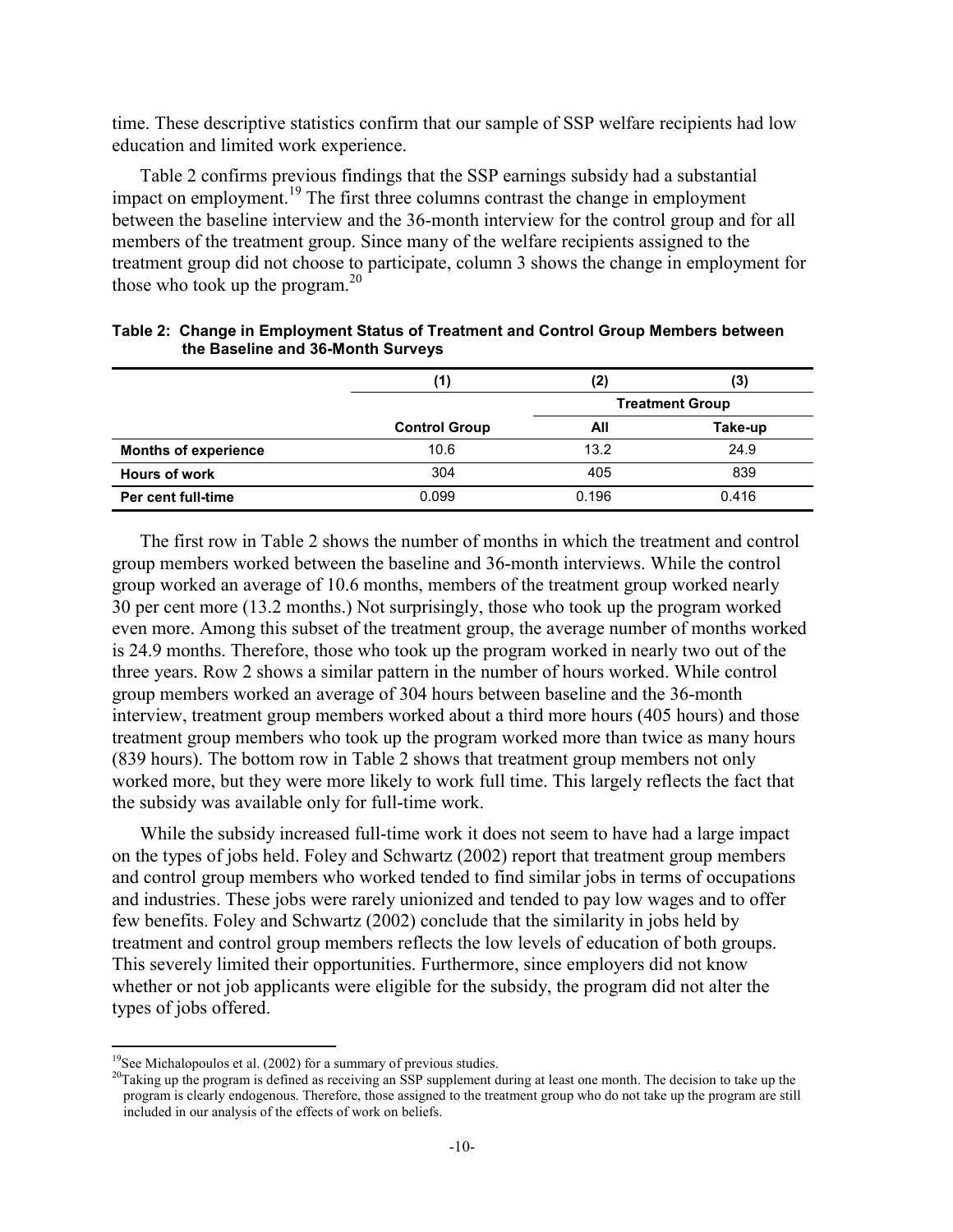time. These descriptive statistics confirm that our sample of SSP welfare recipients had low education and limited work experience.

Table 2 confirms previous findings that the SSP earnings subsidy had a substantial impact on employment.19 The first three columns contrast the change in employment between the baseline interview and the 36-month interview for the control group and for all members of the treatment group. Since many of the welfare recipients assigned to the treatment group did not choose to participate, column 3 shows the change in employment for those who took up the program.<sup>20</sup>

|                             | (1)                  | (2)                    | (3)     |
|-----------------------------|----------------------|------------------------|---------|
|                             |                      | <b>Treatment Group</b> |         |
|                             | <b>Control Group</b> | All                    | Take-up |
| <b>Months of experience</b> | 10.6                 | 13.2                   | 24.9    |
| <b>Hours of work</b>        | 304                  | 405                    | 839     |
| Per cent full-time          | 0.099                | 0.196                  | 0.416   |

| Table 2: Change in Employment Status of Treatment and Control Group Members between |
|-------------------------------------------------------------------------------------|
| the Baseline and 36-Month Surveys                                                   |

The first row in Table 2 shows the number of months in which the treatment and control group members worked between the baseline and 36-month interviews. While the control group worked an average of 10.6 months, members of the treatment group worked nearly 30 per cent more (13.2 months.) Not surprisingly, those who took up the program worked even more. Among this subset of the treatment group, the average number of months worked is 24.9 months. Therefore, those who took up the program worked in nearly two out of the three years. Row 2 shows a similar pattern in the number of hours worked. While control group members worked an average of 304 hours between baseline and the 36-month interview, treatment group members worked about a third more hours (405 hours) and those treatment group members who took up the program worked more than twice as many hours (839 hours). The bottom row in Table 2 shows that treatment group members not only worked more, but they were more likely to work full time. This largely reflects the fact that the subsidy was available only for full-time work.

While the subsidy increased full-time work it does not seem to have had a large impact on the types of jobs held. Foley and Schwartz (2002) report that treatment group members and control group members who worked tended to find similar jobs in terms of occupations and industries. These jobs were rarely unionized and tended to pay low wages and to offer few benefits. Foley and Schwartz (2002) conclude that the similarity in jobs held by treatment and control group members reflects the low levels of education of both groups. This severely limited their opportunities. Furthermore, since employers did not know whether or not job applicants were eligible for the subsidy, the program did not alter the types of jobs offered.

 $19$ See Michalopoulos et al. (2002) for a summary of previous studies.

 $20$ Taking up the program is defined as receiving an SSP supplement during at least one month. The decision to take up the program is clearly endogenous. Therefore, those assigned to the treatment group who do not take up the program are still included in our analysis of the effects of work on beliefs.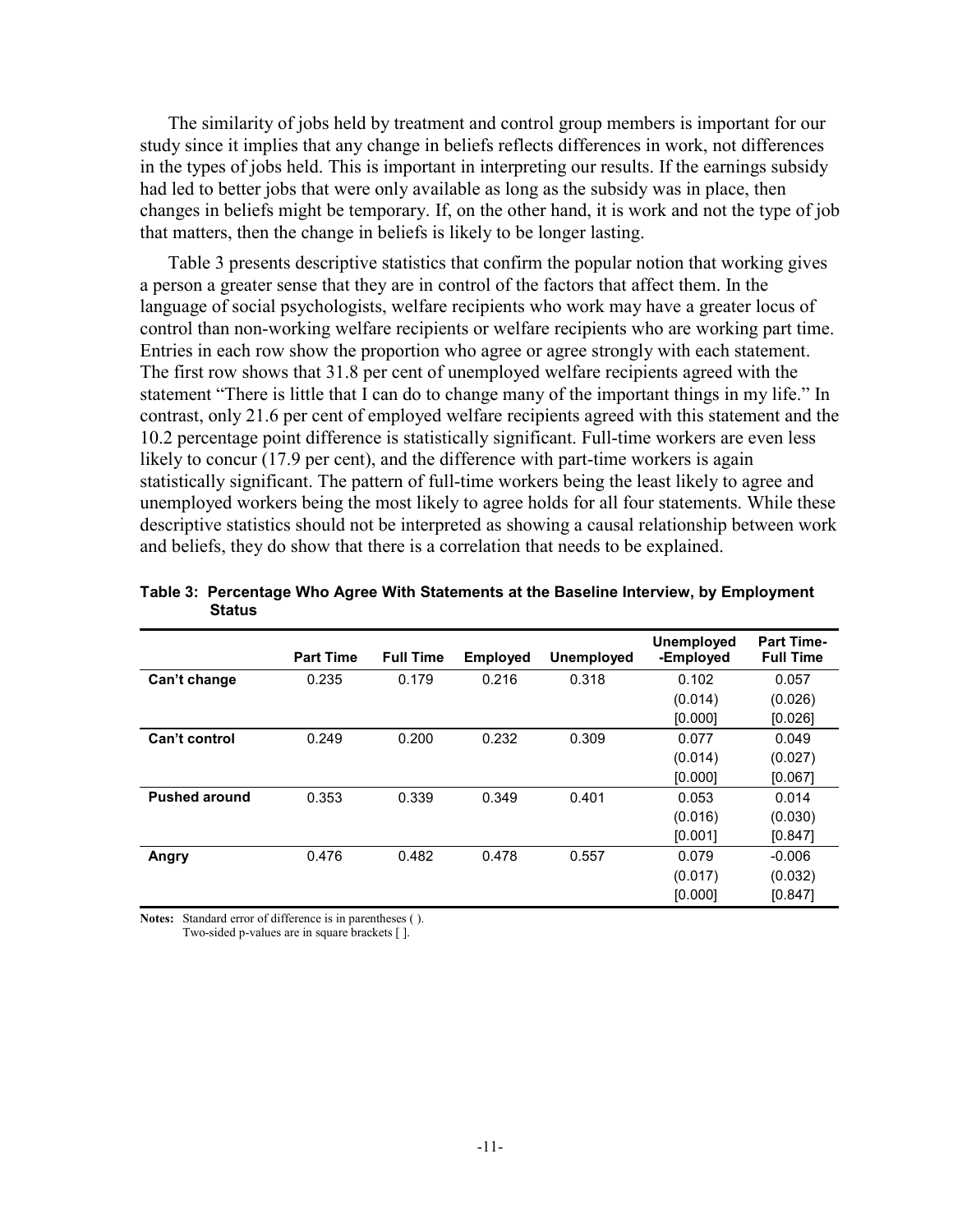The similarity of jobs held by treatment and control group members is important for our study since it implies that any change in beliefs reflects differences in work, not differences in the types of jobs held. This is important in interpreting our results. If the earnings subsidy had led to better jobs that were only available as long as the subsidy was in place, then changes in beliefs might be temporary. If, on the other hand, it is work and not the type of job that matters, then the change in beliefs is likely to be longer lasting.

Table 3 presents descriptive statistics that confirm the popular notion that working gives a person a greater sense that they are in control of the factors that affect them. In the language of social psychologists, welfare recipients who work may have a greater locus of control than non-working welfare recipients or welfare recipients who are working part time. Entries in each row show the proportion who agree or agree strongly with each statement. The first row shows that 31.8 per cent of unemployed welfare recipients agreed with the statement "There is little that I can do to change many of the important things in my life." In contrast, only 21.6 per cent of employed welfare recipients agreed with this statement and the 10.2 percentage point difference is statistically significant. Full-time workers are even less likely to concur (17.9 per cent), and the difference with part-time workers is again statistically significant. The pattern of full-time workers being the least likely to agree and unemployed workers being the most likely to agree holds for all four statements. While these descriptive statistics should not be interpreted as showing a causal relationship between work and beliefs, they do show that there is a correlation that needs to be explained.

|                      | <b>Part Time</b> | <b>Full Time</b> | <b>Employed</b> | <b>Unemployed</b> | <b>Unemployed</b><br>-Employed | <b>Part Time-</b><br><b>Full Time</b> |
|----------------------|------------------|------------------|-----------------|-------------------|--------------------------------|---------------------------------------|
| Can't change         | 0.235            | 0.179            | 0.216           | 0.318             | 0.102                          | 0.057                                 |
|                      |                  |                  |                 |                   | (0.014)                        | (0.026)                               |
|                      |                  |                  |                 |                   | [0.000]                        | [0.026]                               |
| Can't control        | 0.249            | 0.200            | 0.232           | 0.309             | 0.077                          | 0.049                                 |
|                      |                  |                  |                 |                   | (0.014)                        | (0.027)                               |
|                      |                  |                  |                 |                   | [0.000]                        | [0.067]                               |
| <b>Pushed around</b> | 0.353            | 0.339            | 0.349           | 0.401             | 0.053                          | 0.014                                 |
|                      |                  |                  |                 |                   | (0.016)                        | (0.030)                               |
|                      |                  |                  |                 |                   | [0.001]                        | [0.847]                               |
| Angry                | 0.476            | 0.482            | 0.478           | 0.557             | 0.079                          | $-0.006$                              |
|                      |                  |                  |                 |                   | (0.017)                        | (0.032)                               |
|                      |                  |                  |                 |                   | [0.000]                        | [0.847]                               |

|        |  |  | Table 3: Percentage Who Agree With Statements at the Baseline Interview, by Employment |
|--------|--|--|----------------------------------------------------------------------------------------|
| Status |  |  |                                                                                        |

**Notes:** Standard error of difference is in parentheses ( ). Two-sided p-values are in square brackets [ ].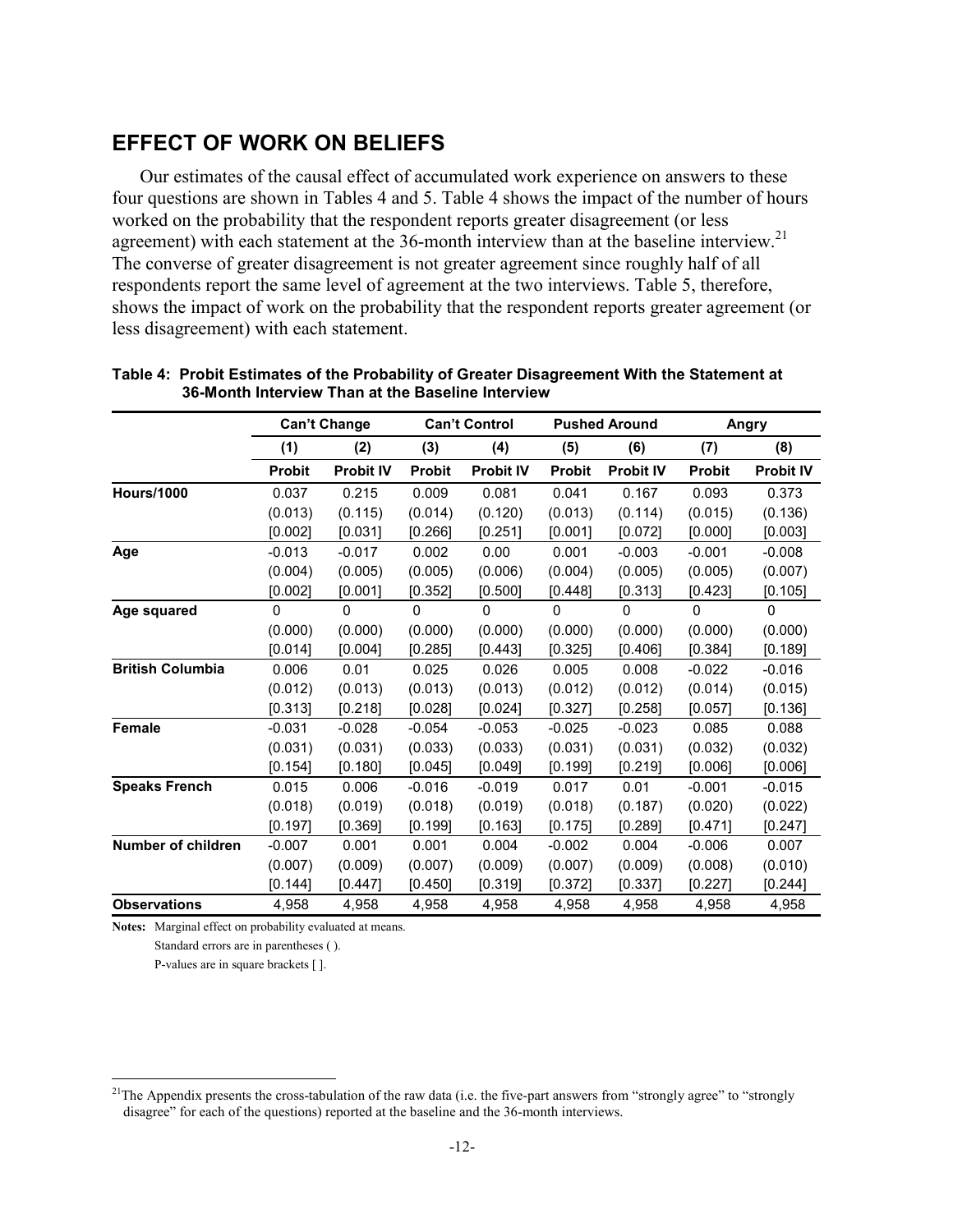#### **EFFECT OF WORK ON BELIEFS**

Our estimates of the causal effect of accumulated work experience on answers to these four questions are shown in Tables 4 and 5. Table 4 shows the impact of the number of hours worked on the probability that the respondent reports greater disagreement (or less agreement) with each statement at the 36-month interview than at the baseline interview.<sup>21</sup> The converse of greater disagreement is not greater agreement since roughly half of all respondents report the same level of agreement at the two interviews. Table 5, therefore, shows the impact of work on the probability that the respondent reports greater agreement (or less disagreement) with each statement.

|                         |               | <b>Can't Change</b> |               | <b>Can't Control</b> | <b>Pushed Around</b> |                  | Angry         |                  |
|-------------------------|---------------|---------------------|---------------|----------------------|----------------------|------------------|---------------|------------------|
|                         | (1)           | (2)                 | (3)           | (4)                  | (5)                  | (6)              | (7)           | (8)              |
|                         | <b>Probit</b> | <b>Probit IV</b>    | <b>Probit</b> | <b>Probit IV</b>     | <b>Probit</b>        | <b>Probit IV</b> | <b>Probit</b> | <b>Probit IV</b> |
| <b>Hours/1000</b>       | 0.037         | 0.215               | 0.009         | 0.081                | 0.041                | 0.167            | 0.093         | 0.373            |
|                         | (0.013)       | (0.115)             | (0.014)       | (0.120)              | (0.013)              | (0.114)          | (0.015)       | (0.136)          |
|                         | [0.002]       | [0.031]             | [0.266]       | [0.251]              | [0.001]              | [0.072]          | [0.000]       | [0.003]          |
| Age                     | $-0.013$      | $-0.017$            | 0.002         | 0.00                 | 0.001                | $-0.003$         | $-0.001$      | $-0.008$         |
|                         | (0.004)       | (0.005)             | (0.005)       | (0.006)              | (0.004)              | (0.005)          | (0.005)       | (0.007)          |
|                         | [0.002]       | [0.001]             | [0.352]       | [0.500]              | [0.448]              | [0.313]          | [0.423]       | [0.105]          |
| Age squared             | 0             | $\mathbf{0}$        | $\Omega$      | $\mathbf{0}$         | $\Omega$             | 0                | $\mathbf{0}$  | $\mathbf{0}$     |
|                         | (0.000)       | (0.000)             | (0.000)       | (0.000)              | (0.000)              | (0.000)          | (0.000)       | (0.000)          |
|                         | [0.014]       | [0.004]             | [0.285]       | [0.443]              | [0.325]              | [0.406]          | [0.384]       | [0.189]          |
| <b>British Columbia</b> | 0.006         | 0.01                | 0.025         | 0.026                | 0.005                | 0.008            | $-0.022$      | $-0.016$         |
|                         | (0.012)       | (0.013)             | (0.013)       | (0.013)              | (0.012)              | (0.012)          | (0.014)       | (0.015)          |
|                         | [0.313]       | [0.218]             | [0.028]       | [0.024]              | [0.327]              | [0.258]          | [0.057]       | [0.136]          |
| <b>Female</b>           | $-0.031$      | $-0.028$            | $-0.054$      | $-0.053$             | $-0.025$             | $-0.023$         | 0.085         | 0.088            |
|                         | (0.031)       | (0.031)             | (0.033)       | (0.033)              | (0.031)              | (0.031)          | (0.032)       | (0.032)          |
|                         | [0.154]       | [0.180]             | [0.045]       | [0.049]              | [0.199]              | [0.219]          | [0.006]       | [0.006]          |
| <b>Speaks French</b>    | 0.015         | 0.006               | $-0.016$      | $-0.019$             | 0.017                | 0.01             | $-0.001$      | $-0.015$         |
|                         | (0.018)       | (0.019)             | (0.018)       | (0.019)              | (0.018)              | (0.187)          | (0.020)       | (0.022)          |
|                         | [0.197]       | [0.369]             | [0.199]       | [0.163]              | [0.175]              | [0.289]          | [0.471]       | [0.247]          |
| Number of children      | $-0.007$      | 0.001               | 0.001         | 0.004                | $-0.002$             | 0.004            | $-0.006$      | 0.007            |
|                         | (0.007)       | (0.009)             | (0.007)       | (0.009)              | (0.007)              | (0.009)          | (0.008)       | (0.010)          |
|                         | [0.144]       | [0.447]             | [0.450]       | [0.319]              | [0.372]              | [0.337]          | [0.227]       | [0.244]          |
| <b>Observations</b>     | 4,958         | 4,958               | 4,958         | 4,958                | 4,958                | 4,958            | 4,958         | 4,958            |

| Table 4: Probit Estimates of the Probability of Greater Disagreement With the Statement at |
|--------------------------------------------------------------------------------------------|
| 36-Month Interview Than at the Baseline Interview                                          |

**Notes:** Marginal effect on probability evaluated at means.

Standard errors are in parentheses ( ).

P-values are in square brackets [ ].

 $21$ The Appendix presents the cross-tabulation of the raw data (i.e. the five-part answers from "strongly agree" to "strongly disagree" for each of the questions) reported at the baseline and the 36-month interviews.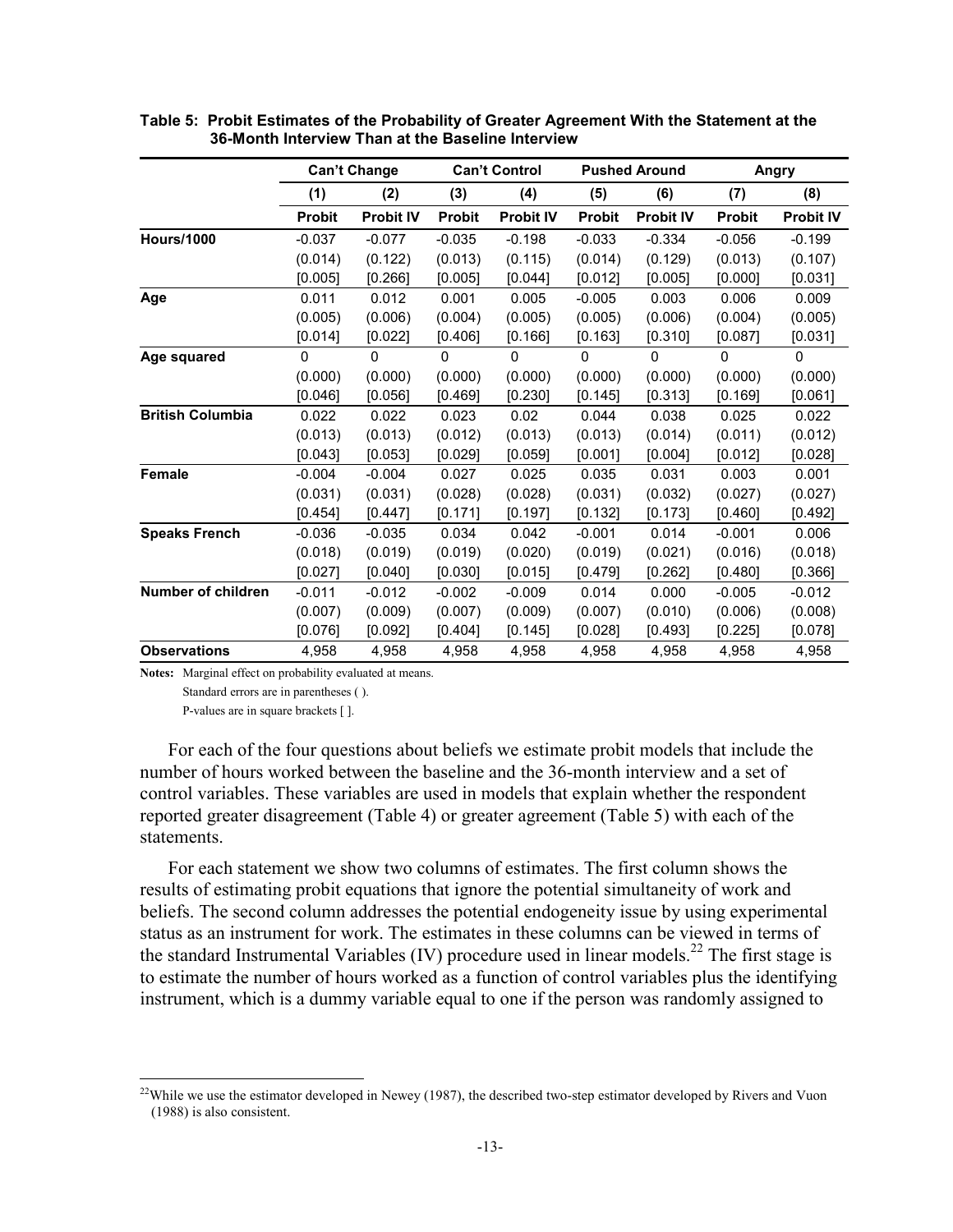|                         | <b>Can't Change</b> |                  |               | <b>Can't Control</b> |               | <b>Pushed Around</b> | Angry         |                  |
|-------------------------|---------------------|------------------|---------------|----------------------|---------------|----------------------|---------------|------------------|
|                         | (1)                 | (2)              | (3)           | (4)                  | (5)           | (6)                  | (7)           | (8)              |
|                         | <b>Probit</b>       | <b>Probit IV</b> | <b>Probit</b> | <b>Probit IV</b>     | <b>Probit</b> | <b>Probit IV</b>     | <b>Probit</b> | <b>Probit IV</b> |
| <b>Hours/1000</b>       | $-0.037$            | $-0.077$         | $-0.035$      | $-0.198$             | $-0.033$      | $-0.334$             | $-0.056$      | $-0.199$         |
|                         | (0.014)             | (0.122)          | (0.013)       | (0.115)              | (0.014)       | (0.129)              | (0.013)       | (0.107)          |
|                         | [0.005]             | [0.266]          | [0.005]       | [0.044]              | [0.012]       | [0.005]              | [0.000]       | [0.031]          |
| Age                     | 0.011               | 0.012            | 0.001         | 0.005                | $-0.005$      | 0.003                | 0.006         | 0.009            |
|                         | (0.005)             | (0.006)          | (0.004)       | (0.005)              | (0.005)       | (0.006)              | (0.004)       | (0.005)          |
|                         | [0.014]             | [0.022]          | [0.406]       | [0.166]              | [0.163]       | [0.310]              | [0.087]       | [0.031]          |
| Age squared             | 0                   | $\Omega$         | $\Omega$      | $\Omega$             | $\mathbf{0}$  | 0                    | $\Omega$      | 0                |
|                         | (0.000)             | (0.000)          | (0.000)       | (0.000)              | (0.000)       | (0.000)              | (0.000)       | (0.000)          |
|                         | [0.046]             | [0.056]          | [0.469]       | [0.230]              | [0.145]       | [0.313]              | [0.169]       | [0.061]          |
| <b>British Columbia</b> | 0.022               | 0.022            | 0.023         | 0.02                 | 0.044         | 0.038                | 0.025         | 0.022            |
|                         | (0.013)             | (0.013)          | (0.012)       | (0.013)              | (0.013)       | (0.014)              | (0.011)       | (0.012)          |
|                         | [0.043]             | [0.053]          | [0.029]       | [0.059]              | [0.001]       | [0.004]              | [0.012]       | [0.028]          |
| <b>Female</b>           | $-0.004$            | $-0.004$         | 0.027         | 0.025                | 0.035         | 0.031                | 0.003         | 0.001            |
|                         | (0.031)             | (0.031)          | (0.028)       | (0.028)              | (0.031)       | (0.032)              | (0.027)       | (0.027)          |
|                         | [0.454]             | [0.447]          | [0.171]       | [0.197]              | [0.132]       | [0.173]              | [0.460]       | [0.492]          |
| <b>Speaks French</b>    | $-0.036$            | $-0.035$         | 0.034         | 0.042                | $-0.001$      | 0.014                | $-0.001$      | 0.006            |
|                         | (0.018)             | (0.019)          | (0.019)       | (0.020)              | (0.019)       | (0.021)              | (0.016)       | (0.018)          |
|                         | [0.027]             | [0.040]          | [0.030]       | [0.015]              | [0.479]       | [0.262]              | [0.480]       | [0.366]          |
| Number of children      | $-0.011$            | $-0.012$         | $-0.002$      | $-0.009$             | 0.014         | 0.000                | $-0.005$      | $-0.012$         |
|                         | (0.007)             | (0.009)          | (0.007)       | (0.009)              | (0.007)       | (0.010)              | (0.006)       | (0.008)          |
|                         | [0.076]             | [0.092]          | [0.404]       | [0.145]              | [0.028]       | [0.493]              | [0.225]       | [0.078]          |
| <b>Observations</b>     | 4,958               | 4,958            | 4,958         | 4,958                | 4,958         | 4,958                | 4,958         | 4,958            |

**Table 5: Probit Estimates of the Probability of Greater Agreement With the Statement at the 36-Month Interview Than at the Baseline Interview** 

**Notes:** Marginal effect on probability evaluated at means.

Standard errors are in parentheses ( ).

P-values are in square brackets [ ].

1

For each of the four questions about beliefs we estimate probit models that include the number of hours worked between the baseline and the 36-month interview and a set of control variables. These variables are used in models that explain whether the respondent reported greater disagreement (Table 4) or greater agreement (Table 5) with each of the statements.

For each statement we show two columns of estimates. The first column shows the results of estimating probit equations that ignore the potential simultaneity of work and beliefs. The second column addresses the potential endogeneity issue by using experimental status as an instrument for work. The estimates in these columns can be viewed in terms of the standard Instrumental Variables (IV) procedure used in linear models.<sup>22</sup> The first stage is to estimate the number of hours worked as a function of control variables plus the identifying instrument, which is a dummy variable equal to one if the person was randomly assigned to

 $22$ While we use the estimator developed in Newey (1987), the described two-step estimator developed by Rivers and Vuon (1988) is also consistent.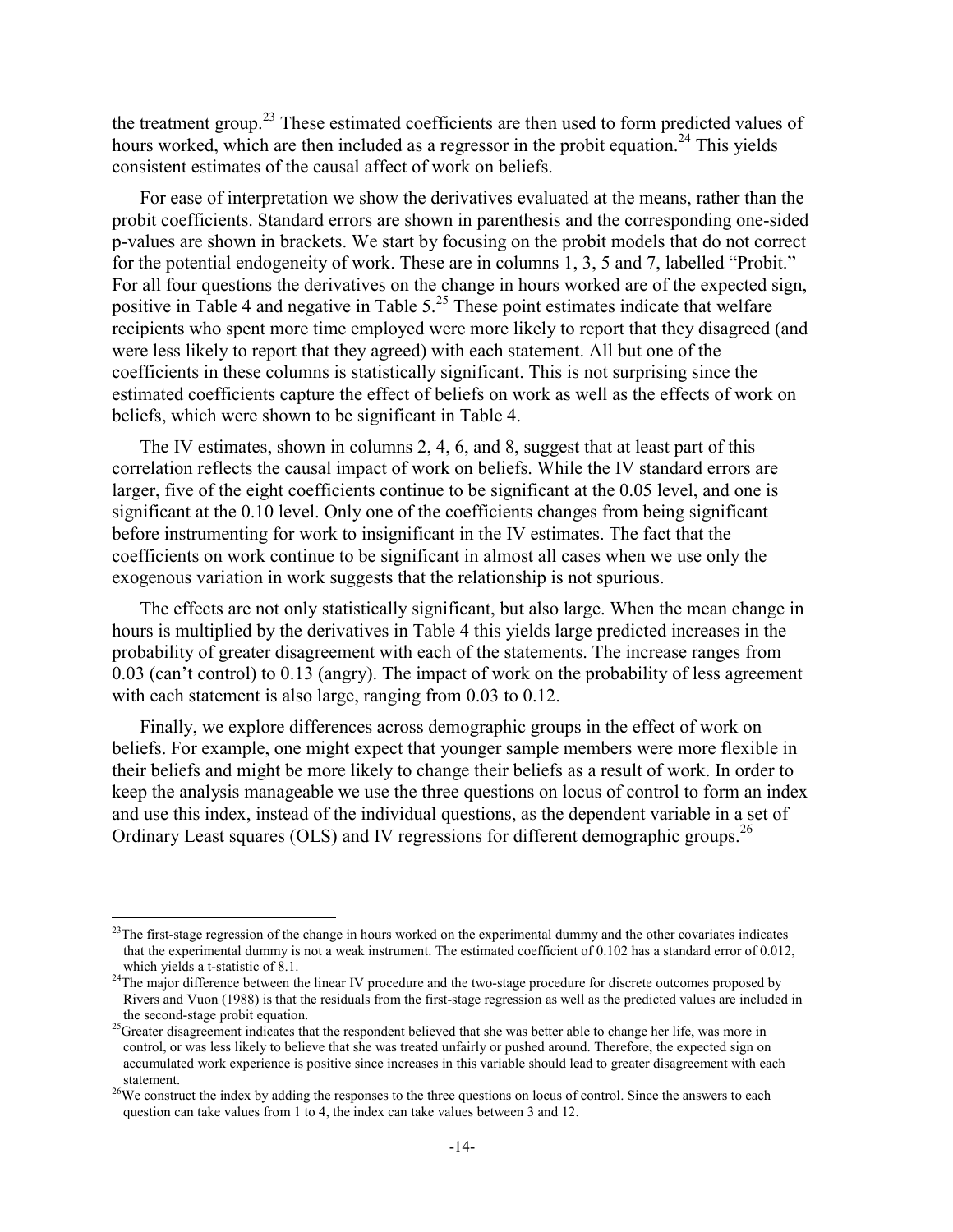the treatment group.<sup>23</sup> These estimated coefficients are then used to form predicted values of hours worked, which are then included as a regressor in the probit equation.<sup>24</sup> This yields consistent estimates of the causal affect of work on beliefs.

For ease of interpretation we show the derivatives evaluated at the means, rather than the probit coefficients. Standard errors are shown in parenthesis and the corresponding one-sided p-values are shown in brackets. We start by focusing on the probit models that do not correct for the potential endogeneity of work. These are in columns 1, 3, 5 and 7, labelled "Probit." For all four questions the derivatives on the change in hours worked are of the expected sign, positive in Table 4 and negative in Table  $5.^{25}$  These point estimates indicate that welfare recipients who spent more time employed were more likely to report that they disagreed (and were less likely to report that they agreed) with each statement. All but one of the coefficients in these columns is statistically significant. This is not surprising since the estimated coefficients capture the effect of beliefs on work as well as the effects of work on beliefs, which were shown to be significant in Table 4.

The IV estimates, shown in columns 2, 4, 6, and 8, suggest that at least part of this correlation reflects the causal impact of work on beliefs. While the IV standard errors are larger, five of the eight coefficients continue to be significant at the 0.05 level, and one is significant at the 0.10 level. Only one of the coefficients changes from being significant before instrumenting for work to insignificant in the IV estimates. The fact that the coefficients on work continue to be significant in almost all cases when we use only the exogenous variation in work suggests that the relationship is not spurious.

The effects are not only statistically significant, but also large. When the mean change in hours is multiplied by the derivatives in Table 4 this yields large predicted increases in the probability of greater disagreement with each of the statements. The increase ranges from 0.03 (can't control) to 0.13 (angry). The impact of work on the probability of less agreement with each statement is also large, ranging from 0.03 to 0.12.

Finally, we explore differences across demographic groups in the effect of work on beliefs. For example, one might expect that younger sample members were more flexible in their beliefs and might be more likely to change their beliefs as a result of work. In order to keep the analysis manageable we use the three questions on locus of control to form an index and use this index, instead of the individual questions, as the dependent variable in a set of Ordinary Least squares (OLS) and IV regressions for different demographic groups.<sup>26</sup>

 $^{23}$ The first-stage regression of the change in hours worked on the experimental dummy and the other covariates indicates that the experimental dummy is not a weak instrument. The estimated coefficient of 0.102 has a standard error of 0.012, which yields a t-statistic of 8.1.

<sup>&</sup>lt;sup>24</sup>The major difference between the linear IV procedure and the two-stage procedure for discrete outcomes proposed by Rivers and Vuon (1988) is that the residuals from the first-stage regression as well as the predicted values are included in

<sup>&</sup>lt;sup>25</sup>Greater disagreement indicates that the respondent believed that she was better able to change her life, was more in control, or was less likely to believe that she was treated unfairly or pushed around. Therefore, the expected sign on accumulated work experience is positive since increases in this variable should lead to greater disagreement with each statement.<br><sup>26</sup>We construct the index by adding the responses to the three questions on locus of control. Since the answers to each

question can take values from 1 to 4, the index can take values between 3 and 12.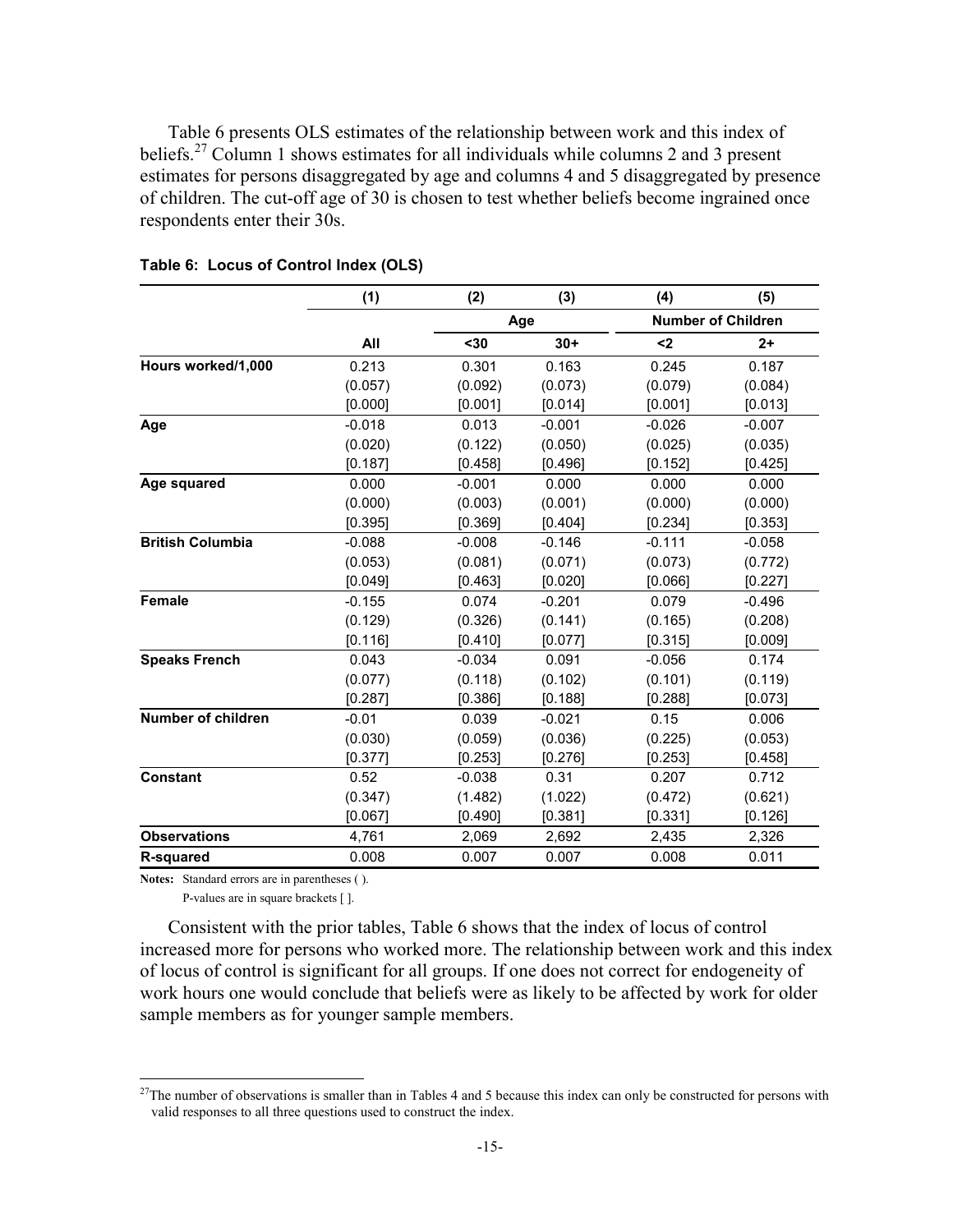Table 6 presents OLS estimates of the relationship between work and this index of beliefs.<sup>27</sup> Column 1 shows estimates for all individuals while columns 2 and 3 present estimates for persons disaggregated by age and columns 4 and 5 disaggregated by presence of children. The cut-off age of 30 is chosen to test whether beliefs become ingrained once respondents enter their 30s.

|                         | (1)      | (2)      | (3)      | (4)      | (5)                       |
|-------------------------|----------|----------|----------|----------|---------------------------|
|                         |          |          | Age      |          | <b>Number of Children</b> |
|                         | All      | $30$     | $30+$    | $2$      | $2+$                      |
| Hours worked/1,000      | 0.213    | 0.301    | 0.163    | 0.245    | 0.187                     |
|                         | (0.057)  | (0.092)  | (0.073)  | (0.079)  | (0.084)                   |
|                         | [0.000]  | [0.001]  | [0.014]  | [0.001]  | [0.013]                   |
| Age                     | $-0.018$ | 0.013    | $-0.001$ | $-0.026$ | $-0.007$                  |
|                         | (0.020)  | (0.122)  | (0.050)  | (0.025)  | (0.035)                   |
|                         | [0.187]  | [0.458]  | [0.496]  | [0.152]  | [0.425]                   |
| Age squared             | 0.000    | $-0.001$ | 0.000    | 0.000    | 0.000                     |
|                         | (0.000)  | (0.003)  | (0.001)  | (0.000)  | (0.000)                   |
|                         | [0.395]  | [0.369]  | [0.404]  | [0.234]  | [0.353]                   |
| <b>British Columbia</b> | $-0.088$ | $-0.008$ | $-0.146$ | $-0.111$ | $-0.058$                  |
|                         | (0.053)  | (0.081)  | (0.071)  | (0.073)  | (0.772)                   |
|                         | [0.049]  | [0.463]  | [0.020]  | [0.066]  | [0.227]                   |
| <b>Female</b>           | $-0.155$ | 0.074    | $-0.201$ | 0.079    | $-0.496$                  |
|                         | (0.129)  | (0.326)  | (0.141)  | (0.165)  | (0.208)                   |
|                         | [0.116]  | [0.410]  | [0.077]  | [0.315]  | [0.009]                   |
| <b>Speaks French</b>    | 0.043    | $-0.034$ | 0.091    | $-0.056$ | 0.174                     |
|                         | (0.077)  | (0.118)  | (0.102)  | (0.101)  | (0.119)                   |
|                         | [0.287]  | [0.386]  | [0.188]  | [0.288]  | [0.073]                   |
| Number of children      | $-0.01$  | 0.039    | $-0.021$ | 0.15     | 0.006                     |
|                         | (0.030)  | (0.059)  | (0.036)  | (0.225)  | (0.053)                   |
|                         | [0.377]  | [0.253]  | [0.276]  | [0.253]  | [0.458]                   |
| <b>Constant</b>         | 0.52     | $-0.038$ | 0.31     | 0.207    | 0.712                     |
|                         | (0.347)  | (1.482)  | (1.022)  | (0.472)  | (0.621)                   |
|                         | [0.067]  | [0.490]  | [0.381]  | [0.331]  | [0.126]                   |
| <b>Observations</b>     | 4,761    | 2,069    | 2,692    | 2,435    | 2,326                     |
| <b>R-squared</b>        | 0.008    | 0.007    | 0.007    | 0.008    | 0.011                     |

**Table 6: Locus of Control Index (OLS)** 

**Notes:** Standard errors are in parentheses ( ).

1

P-values are in square brackets [ ].

Consistent with the prior tables, Table 6 shows that the index of locus of control increased more for persons who worked more. The relationship between work and this index of locus of control is significant for all groups. If one does not correct for endogeneity of work hours one would conclude that beliefs were as likely to be affected by work for older sample members as for younger sample members.

 $27$ The number of observations is smaller than in Tables 4 and 5 because this index can only be constructed for persons with valid responses to all three questions used to construct the index.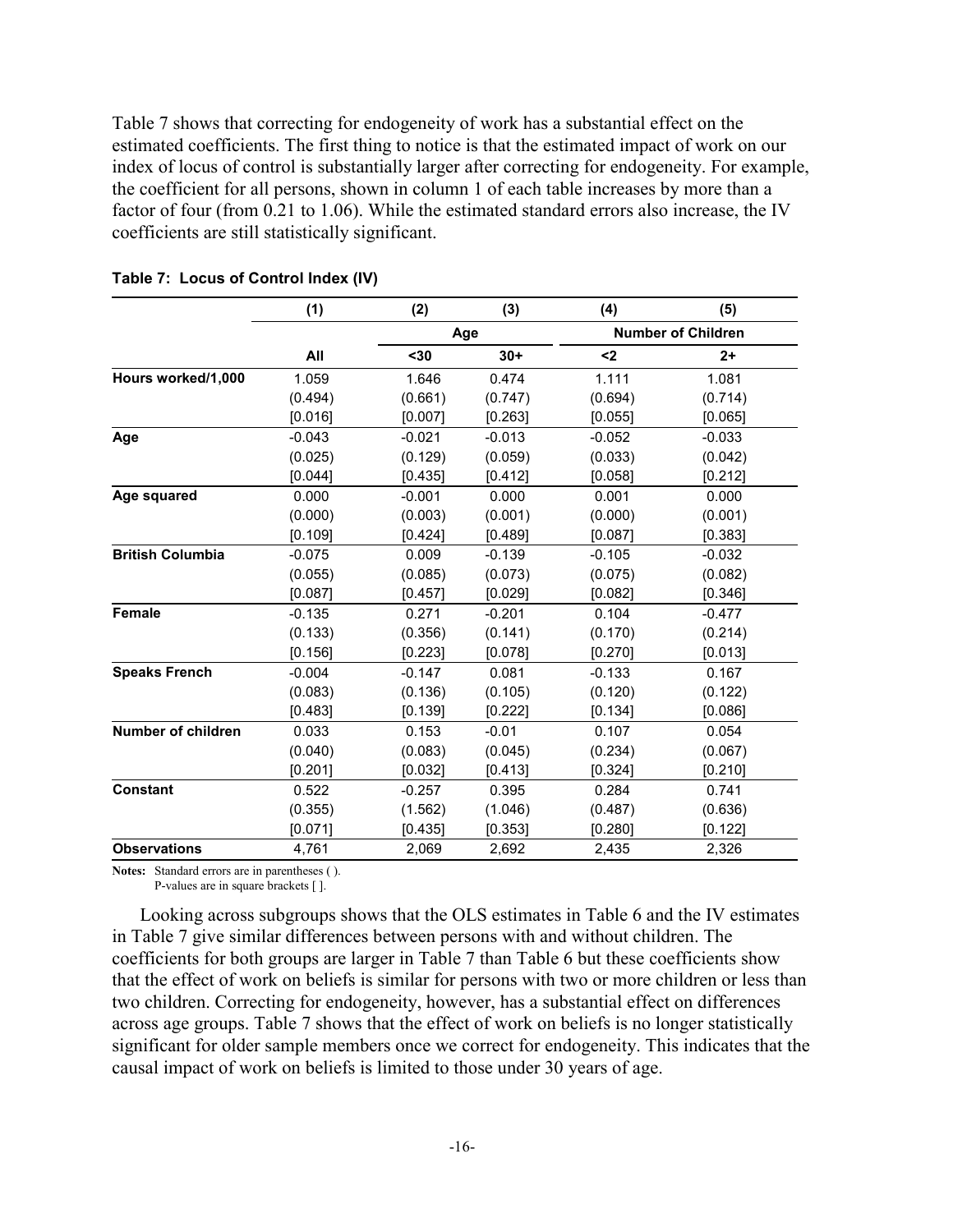Table 7 shows that correcting for endogeneity of work has a substantial effect on the estimated coefficients. The first thing to notice is that the estimated impact of work on our index of locus of control is substantially larger after correcting for endogeneity. For example, the coefficient for all persons, shown in column 1 of each table increases by more than a factor of four (from 0.21 to 1.06). While the estimated standard errors also increase, the IV coefficients are still statistically significant.

|                         | (1)      | (2)      | (3)      | (4)      | (5)                       |
|-------------------------|----------|----------|----------|----------|---------------------------|
|                         |          |          | Age      |          | <b>Number of Children</b> |
|                         | All      | $30$     | $30+$    | $2$      | $2+$                      |
| Hours worked/1,000      | 1.059    | 1.646    | 0.474    | 1.111    | 1.081                     |
|                         | (0.494)  | (0.661)  | (0.747)  | (0.694)  | (0.714)                   |
|                         | [0.016]  | [0.007]  | [0.263]  | [0.055]  | [0.065]                   |
| Age                     | $-0.043$ | $-0.021$ | $-0.013$ | $-0.052$ | $-0.033$                  |
|                         | (0.025)  | (0.129)  | (0.059)  | (0.033)  | (0.042)                   |
|                         | [0.044]  | [0.435]  | [0.412]  | [0.058]  | [0.212]                   |
| Age squared             | 0.000    | $-0.001$ | 0.000    | 0.001    | 0.000                     |
|                         | (0.000)  | (0.003)  | (0.001)  | (0.000)  | (0.001)                   |
|                         | [0.109]  | [0.424]  | [0.489]  | [0.087]  | [0.383]                   |
| <b>British Columbia</b> | $-0.075$ | 0.009    | $-0.139$ | $-0.105$ | $-0.032$                  |
|                         | (0.055)  | (0.085)  | (0.073)  | (0.075)  | (0.082)                   |
|                         | [0.087]  | [0.457]  | [0.029]  | [0.082]  | [0.346]                   |
| <b>Female</b>           | $-0.135$ | 0.271    | $-0.201$ | 0.104    | $-0.477$                  |
|                         | (0.133)  | (0.356)  | (0.141)  | (0.170)  | (0.214)                   |
|                         | [0.156]  | [0.223]  | [0.078]  | [0.270]  | [0.013]                   |
| <b>Speaks French</b>    | $-0.004$ | $-0.147$ | 0.081    | $-0.133$ | 0.167                     |
|                         | (0.083)  | (0.136)  | (0.105)  | (0.120)  | (0.122)                   |
|                         | [0.483]  | [0.139]  | [0.222]  | [0.134]  | [0.086]                   |
| Number of children      | 0.033    | 0.153    | $-0.01$  | 0.107    | 0.054                     |
|                         | (0.040)  | (0.083)  | (0.045)  | (0.234)  | (0.067)                   |
|                         | [0.201]  | [0.032]  | [0.413]  | [0.324]  | [0.210]                   |
| <b>Constant</b>         | 0.522    | $-0.257$ | 0.395    | 0.284    | 0.741                     |
|                         | (0.355)  | (1.562)  | (1.046)  | (0.487)  | (0.636)                   |
|                         | [0.071]  | [0.435]  | [0.353]  | [0.280]  | [0.122]                   |
| <b>Observations</b>     | 4,761    | 2,069    | 2,692    | 2,435    | 2,326                     |

**Notes:** Standard errors are in parentheses ( ).

P-values are in square brackets [ ].

Looking across subgroups shows that the OLS estimates in Table 6 and the IV estimates in Table 7 give similar differences between persons with and without children. The coefficients for both groups are larger in Table 7 than Table 6 but these coefficients show that the effect of work on beliefs is similar for persons with two or more children or less than two children. Correcting for endogeneity, however, has a substantial effect on differences across age groups. Table 7 shows that the effect of work on beliefs is no longer statistically significant for older sample members once we correct for endogeneity. This indicates that the causal impact of work on beliefs is limited to those under 30 years of age.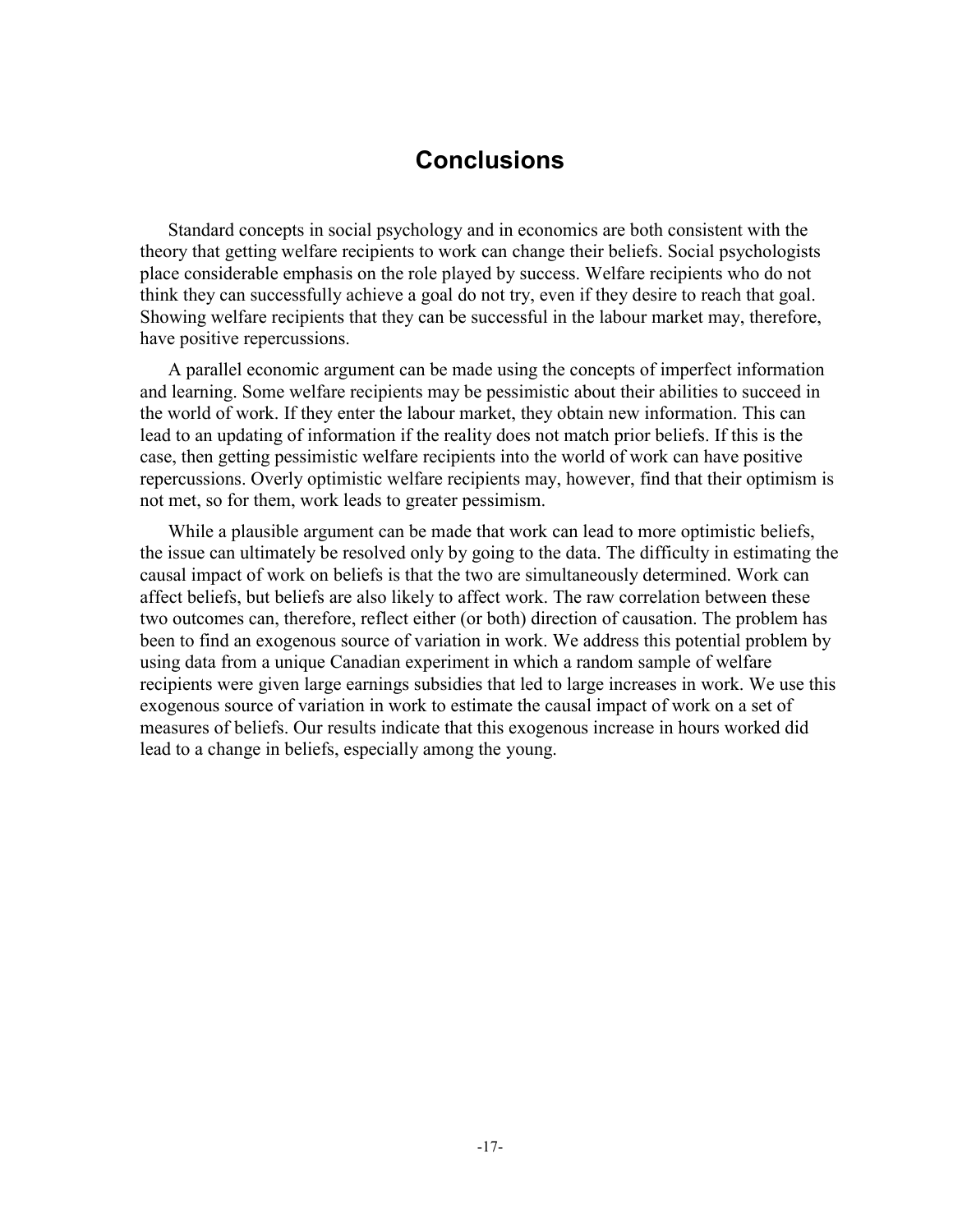### **Conclusions**

Standard concepts in social psychology and in economics are both consistent with the theory that getting welfare recipients to work can change their beliefs. Social psychologists place considerable emphasis on the role played by success. Welfare recipients who do not think they can successfully achieve a goal do not try, even if they desire to reach that goal. Showing welfare recipients that they can be successful in the labour market may, therefore, have positive repercussions.

A parallel economic argument can be made using the concepts of imperfect information and learning. Some welfare recipients may be pessimistic about their abilities to succeed in the world of work. If they enter the labour market, they obtain new information. This can lead to an updating of information if the reality does not match prior beliefs. If this is the case, then getting pessimistic welfare recipients into the world of work can have positive repercussions. Overly optimistic welfare recipients may, however, find that their optimism is not met, so for them, work leads to greater pessimism.

While a plausible argument can be made that work can lead to more optimistic beliefs, the issue can ultimately be resolved only by going to the data. The difficulty in estimating the causal impact of work on beliefs is that the two are simultaneously determined. Work can affect beliefs, but beliefs are also likely to affect work. The raw correlation between these two outcomes can, therefore, reflect either (or both) direction of causation. The problem has been to find an exogenous source of variation in work. We address this potential problem by using data from a unique Canadian experiment in which a random sample of welfare recipients were given large earnings subsidies that led to large increases in work. We use this exogenous source of variation in work to estimate the causal impact of work on a set of measures of beliefs. Our results indicate that this exogenous increase in hours worked did lead to a change in beliefs, especially among the young.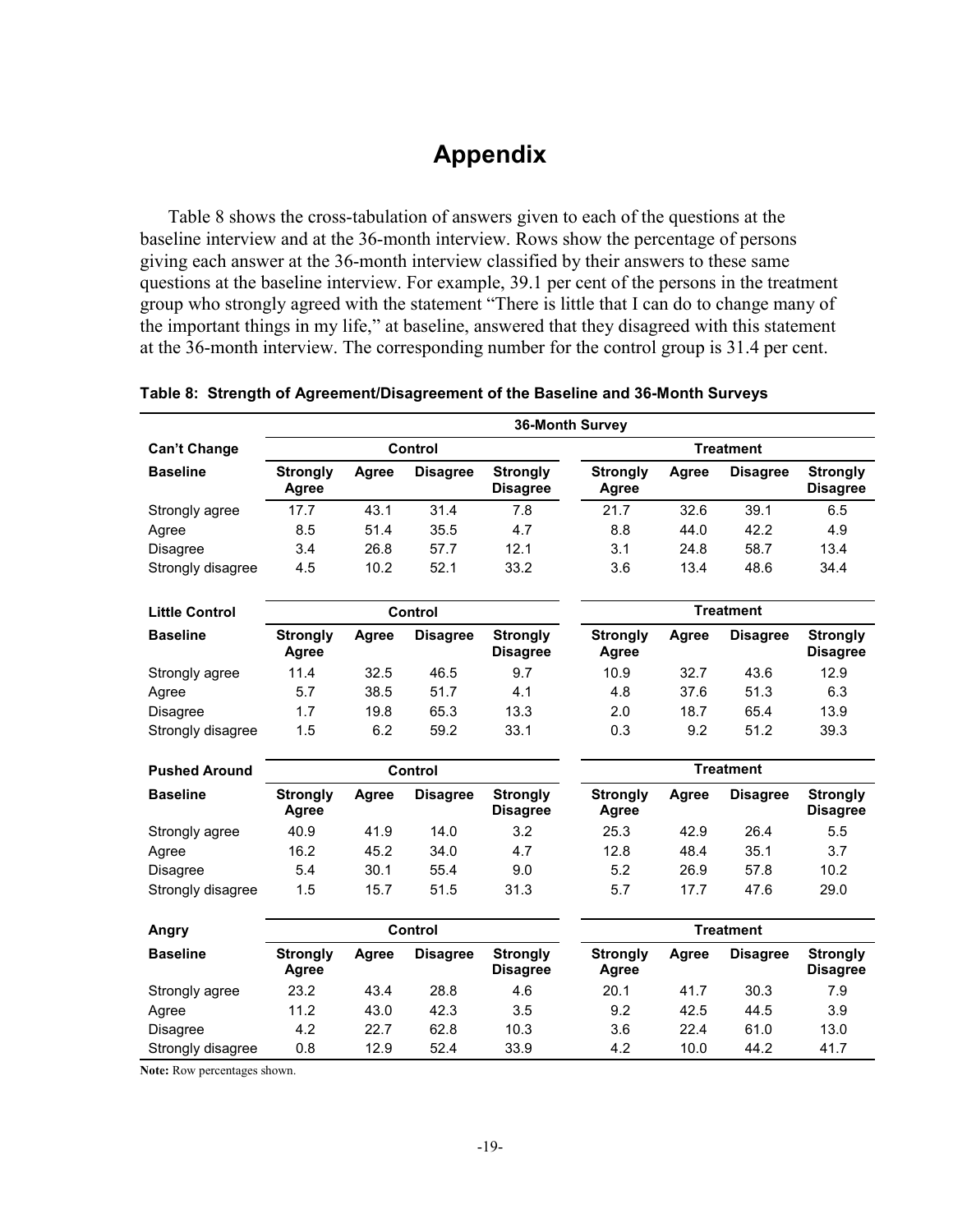# **Appendix**

Table 8 shows the cross-tabulation of answers given to each of the questions at the baseline interview and at the 36-month interview. Rows show the percentage of persons giving each answer at the 36-month interview classified by their answers to these same questions at the baseline interview. For example, 39.1 per cent of the persons in the treatment group who strongly agreed with the statement "There is little that I can do to change many of the important things in my life," at baseline, answered that they disagreed with this statement at the 36-month interview. The corresponding number for the control group is 31.4 per cent.

|                       |                          | <b>36-Month Survey</b> |                 |                                    |                                 |       |                 |                                    |  |  |  |
|-----------------------|--------------------------|------------------------|-----------------|------------------------------------|---------------------------------|-------|-----------------|------------------------------------|--|--|--|
| <b>Can't Change</b>   | Control                  |                        |                 |                                    | <b>Treatment</b>                |       |                 |                                    |  |  |  |
| <b>Baseline</b>       | <b>Strongly</b><br>Agree | Agree                  | <b>Disagree</b> | <b>Strongly</b><br><b>Disagree</b> | <b>Strongly</b><br>Agree        | Agree | <b>Disagree</b> | <b>Strongly</b><br><b>Disagree</b> |  |  |  |
| Strongly agree        | 17.7                     | 43.1                   | 31.4            | 7.8                                | 21.7                            | 32.6  | 39.1            | 6.5                                |  |  |  |
| Agree                 | 8.5                      | 51.4                   | 35.5            | 4.7                                | 8.8                             | 44.0  | 42.2            | 4.9                                |  |  |  |
| Disagree              | 3.4                      | 26.8                   | 57.7            | 12.1                               | 3.1                             | 24.8  | 58.7            | 13.4                               |  |  |  |
| Strongly disagree     | 4.5                      | 10.2                   | 52.1            | 33.2                               | 3.6                             | 13.4  | 48.6            | 34.4                               |  |  |  |
| <b>Little Control</b> | Control                  |                        |                 | <b>Treatment</b>                   |                                 |       |                 |                                    |  |  |  |
| <b>Baseline</b>       | <b>Strongly</b><br>Agree | Agree                  | <b>Disagree</b> | <b>Strongly</b><br><b>Disagree</b> | <b>Strongly</b><br>Agree        | Agree | <b>Disagree</b> | <b>Strongly</b><br><b>Disagree</b> |  |  |  |
| Strongly agree        | 11.4                     | 32.5                   | 46.5            | 9.7                                | 10.9                            | 32.7  | 43.6            | 12.9                               |  |  |  |
| Agree                 | 5.7                      | 38.5                   | 51.7            | 4.1                                | 4.8                             | 37.6  | 51.3            | 6.3                                |  |  |  |
| <b>Disagree</b>       | 1.7                      | 19.8                   | 65.3            | 13.3                               | 2.0                             | 18.7  | 65.4            | 13.9                               |  |  |  |
| Strongly disagree     | 1.5                      | 6.2                    | 59.2            | 33.1                               | 0.3                             | 9.2   | 51.2            | 39.3                               |  |  |  |
| <b>Pushed Around</b>  | Control                  |                        |                 | <b>Treatment</b>                   |                                 |       |                 |                                    |  |  |  |
| <b>Baseline</b>       | <b>Strongly</b><br>Agree | Agree                  | <b>Disagree</b> | <b>Strongly</b><br><b>Disagree</b> | <b>Strongly</b><br>Agree        | Agree | <b>Disagree</b> | <b>Strongly</b><br><b>Disagree</b> |  |  |  |
| Strongly agree        | 40.9                     | 41.9                   | 14.0            | 3.2                                | 25.3                            | 42.9  | 26.4            | 5.5                                |  |  |  |
| Agree                 | 16.2                     | 45.2                   | 34.0            | 4.7                                | 12.8                            | 48.4  | 35.1            | 3.7                                |  |  |  |
| <b>Disagree</b>       | 5.4                      | 30.1                   | 55.4            | 9.0                                | 5.2                             | 26.9  | 57.8            | 10.2                               |  |  |  |
| Strongly disagree     | 1.5                      | 15.7                   | 51.5            | 31.3                               | 5.7                             | 17.7  | 47.6            | 29.0                               |  |  |  |
| Angry                 | Control                  |                        |                 | <b>Treatment</b>                   |                                 |       |                 |                                    |  |  |  |
| <b>Baseline</b>       | <b>Strongly</b><br>Agree | Agree                  | <b>Disagree</b> | <b>Strongly</b><br><b>Disagree</b> | <b>Strongly</b><br><b>Agree</b> | Agree | <b>Disagree</b> | <b>Strongly</b><br><b>Disagree</b> |  |  |  |
| Strongly agree        | 23.2                     | 43.4                   | 28.8            | 4.6                                | 20.1                            | 41.7  | 30.3            | 7.9                                |  |  |  |
| Agree                 | 11.2                     | 43.0                   | 42.3            | 3.5                                | 9.2                             | 42.5  | 44.5            | 3.9                                |  |  |  |
| Disagree              | 4.2                      | 22.7                   | 62.8            | 10.3                               | 3.6                             | 22.4  | 61.0            | 13.0                               |  |  |  |
| Strongly disagree     | 0.8                      | 12.9                   | 52.4            | 33.9                               | 4.2                             | 10.0  | 44.2            | 41.7                               |  |  |  |

#### **Table 8: Strength of Agreement/Disagreement of the Baseline and 36-Month Surveys**

**Note:** Row percentages shown.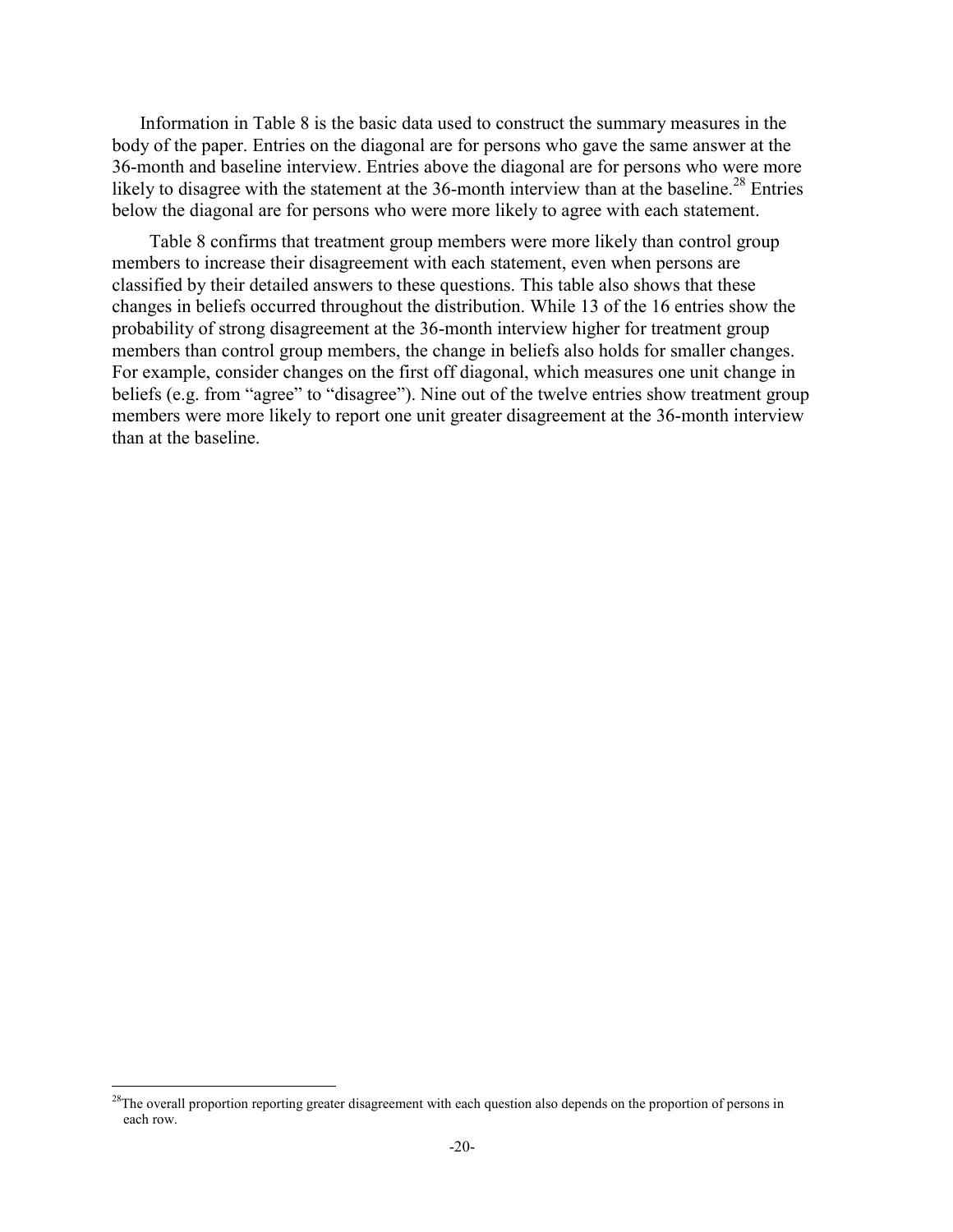Information in Table 8 is the basic data used to construct the summary measures in the body of the paper. Entries on the diagonal are for persons who gave the same answer at the 36-month and baseline interview. Entries above the diagonal are for persons who were more likely to disagree with the statement at the 36-month interview than at the baseline.<sup>28</sup> Entries below the diagonal are for persons who were more likely to agree with each statement.

 Table 8 confirms that treatment group members were more likely than control group members to increase their disagreement with each statement, even when persons are classified by their detailed answers to these questions. This table also shows that these changes in beliefs occurred throughout the distribution. While 13 of the 16 entries show the probability of strong disagreement at the 36-month interview higher for treatment group members than control group members, the change in beliefs also holds for smaller changes. For example, consider changes on the first off diagonal, which measures one unit change in beliefs (e.g. from "agree" to "disagree"). Nine out of the twelve entries show treatment group members were more likely to report one unit greater disagreement at the 36-month interview than at the baseline.

 $28$ The overall proportion reporting greater disagreement with each question also depends on the proportion of persons in each row.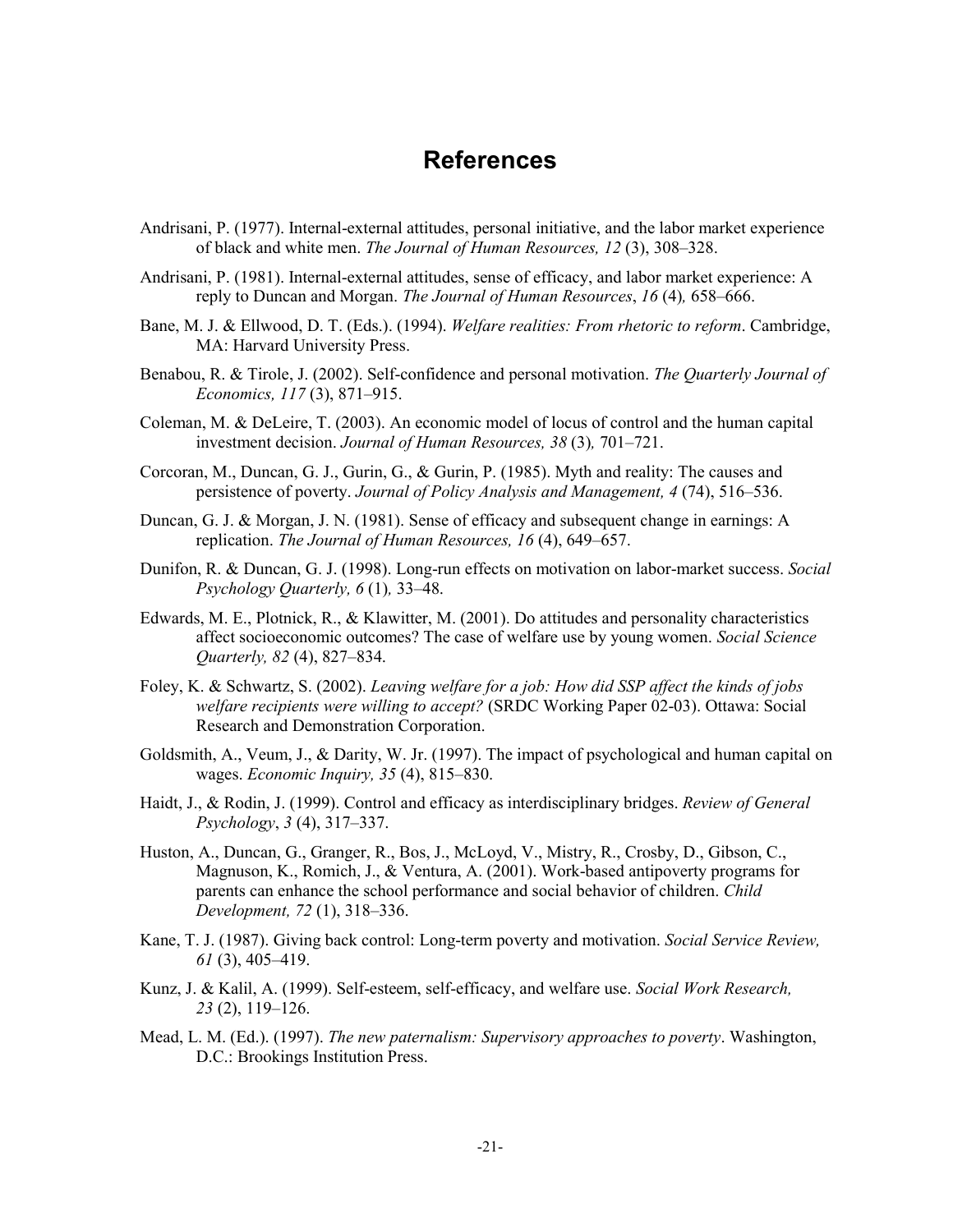#### **References**

- Andrisani, P. (1977). Internal-external attitudes, personal initiative, and the labor market experience of black and white men. *The Journal of Human Resources, 12* (3), 308–328.
- Andrisani, P. (1981). Internal-external attitudes, sense of efficacy, and labor market experience: A reply to Duncan and Morgan. *The Journal of Human Resources*, *16* (4)*,* 658–666.
- Bane, M. J. & Ellwood, D. T. (Eds.). (1994). *Welfare realities: From rhetoric to reform*. Cambridge, MA: Harvard University Press.
- Benabou, R. & Tirole, J. (2002). Self-confidence and personal motivation. *The Quarterly Journal of Economics, 117* (3), 871–915.
- Coleman, M. & DeLeire, T. (2003). An economic model of locus of control and the human capital investment decision. *Journal of Human Resources, 38* (3)*,* 701–721.
- Corcoran, M., Duncan, G. J., Gurin, G., & Gurin, P. (1985). Myth and reality: The causes and persistence of poverty. *Journal of Policy Analysis and Management, 4* (74), 516–536.
- Duncan, G. J. & Morgan, J. N. (1981). Sense of efficacy and subsequent change in earnings: A replication. *The Journal of Human Resources, 16* (4), 649–657.
- Dunifon, R. & Duncan, G. J. (1998). Long-run effects on motivation on labor-market success. *Social Psychology Quarterly, 6* (1)*,* 33–48.
- Edwards, M. E., Plotnick, R., & Klawitter, M. (2001). Do attitudes and personality characteristics affect socioeconomic outcomes? The case of welfare use by young women. *Social Science Quarterly, 82* (4), 827–834.
- Foley, K. & Schwartz, S. (2002). *Leaving welfare for a job: How did SSP affect the kinds of jobs welfare recipients were willing to accept?* (SRDC Working Paper 02-03). Ottawa: Social Research and Demonstration Corporation.
- Goldsmith, A., Veum, J., & Darity, W. Jr. (1997). The impact of psychological and human capital on wages. *Economic Inquiry, 35* (4), 815–830.
- Haidt, J., & Rodin, J. (1999). Control and efficacy as interdisciplinary bridges. *Review of General Psychology*, *3* (4), 317–337.
- Huston, A., Duncan, G., Granger, R., Bos, J., McLoyd, V., Mistry, R., Crosby, D., Gibson, C., Magnuson, K., Romich, J., & Ventura, A. (2001). Work-based antipoverty programs for parents can enhance the school performance and social behavior of children. *Child Development, 72* (1), 318–336.
- Kane, T. J. (1987). Giving back control: Long-term poverty and motivation. *Social Service Review, 61* (3), 405–419.
- Kunz, J. & Kalil, A. (1999). Self-esteem, self-efficacy, and welfare use. *Social Work Research, 23* (2), 119–126.
- Mead, L. M. (Ed.). (1997). *The new paternalism: Supervisory approaches to poverty*. Washington, D.C.: Brookings Institution Press.